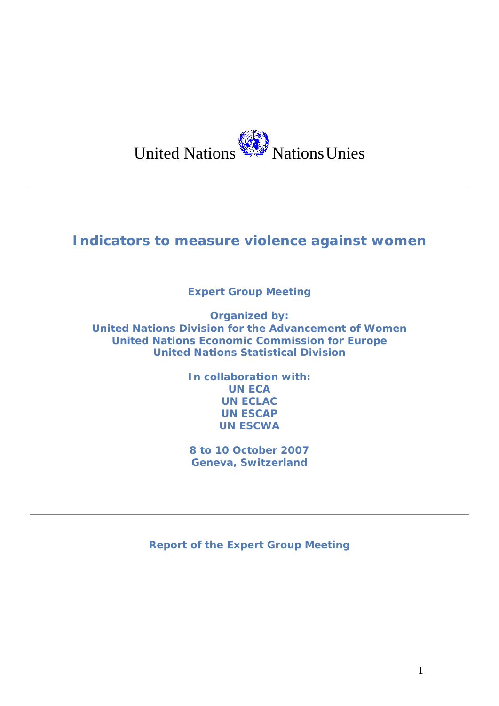

# **Indicators to measure violence against women**

**Expert Group Meeting** 

**Organized by: United Nations Division for the Advancement of Women United Nations Economic Commission for Europe United Nations Statistical Division** 

> **In collaboration with: UN ECA UN ECLAC UN ESCAP UN ESCWA**

**8 to 10 October 2007 Geneva, Switzerland** 

*Report of the Expert Group Meeting*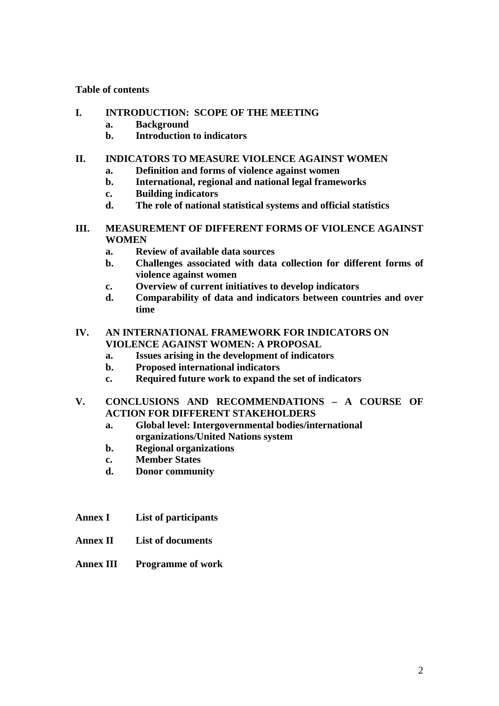### **Table of contents**

- **I. INTRODUCTION: SCOPE OF THE MEETING** 
	- **a. Background**
	- **b. Introduction to indicators**

## **II. INDICATORS TO MEASURE VIOLENCE AGAINST WOMEN**

- **a. Definition and forms of violence against women**
- **b. International, regional and national legal frameworks**
- **c. Building indicators**
- **d. The role of national statistical systems and official statistics**
- **III. MEASUREMENT OF DIFFERENT FORMS OF VIOLENCE AGAINST WOMEN** 
	- **a. Review of available data sources**
	- **b. Challenges associated with data collection for different forms of violence against women**
	- **c. Overview of current initiatives to develop indicators**
	- **d. Comparability of data and indicators between countries and over time**

## **IV. AN INTERNATIONAL FRAMEWORK FOR INDICATORS ON VIOLENCE AGAINST WOMEN: A PROPOSAL**

- **a. Issues arising in the development of indicators**
- **b. Proposed international indicators**
- **c. Required future work to expand the set of indicators**

## **V. CONCLUSIONS AND RECOMMENDATIONS – A COURSE OF ACTION FOR DIFFERENT STAKEHOLDERS**

- **a. Global level: Intergovernmental bodies/international organizations/United Nations system**
- **b. Regional organizations**
- **c. Member States**
- **d. Donor community**
- **Annex I List of participants**
- **Annex II List of documents**
- **Annex III Programme of work**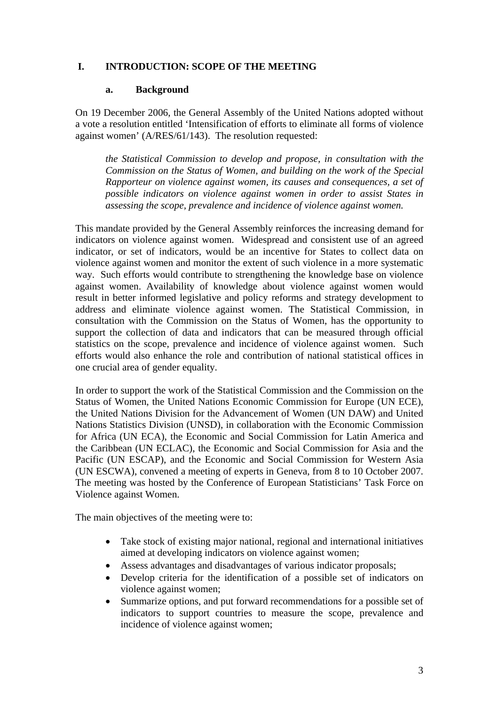## **I. INTRODUCTION: SCOPE OF THE MEETING**

### **a. Background**

On 19 December 2006, the General Assembly of the United Nations adopted without a vote a resolution entitled 'Intensification of efforts to eliminate all forms of violence against women' (A/RES/61/143). The resolution requested:

*the Statistical Commission to develop and propose, in consultation with the Commission on the Status of Women, and building on the work of the Special Rapporteur on violence against women, its causes and consequences, a set of possible indicators on violence against women in order to assist States in assessing the scope, prevalence and incidence of violence against women.* 

This mandate provided by the General Assembly reinforces the increasing demand for indicators on violence against women. Widespread and consistent use of an agreed indicator, or set of indicators, would be an incentive for States to collect data on violence against women and monitor the extent of such violence in a more systematic way. Such efforts would contribute to strengthening the knowledge base on violence against women. Availability of knowledge about violence against women would result in better informed legislative and policy reforms and strategy development to address and eliminate violence against women. The Statistical Commission, in consultation with the Commission on the Status of Women, has the opportunity to support the collection of data and indicators that can be measured through official statistics on the scope, prevalence and incidence of violence against women. Such efforts would also enhance the role and contribution of national statistical offices in one crucial area of gender equality.

In order to support the work of the Statistical Commission and the Commission on the Status of Women, the United Nations Economic Commission for Europe (UN ECE), the United Nations Division for the Advancement of Women (UN DAW) and United Nations Statistics Division (UNSD), in collaboration with the Economic Commission for Africa (UN ECA), the Economic and Social Commission for Latin America and the Caribbean (UN ECLAC), the Economic and Social Commission for Asia and the Pacific (UN ESCAP), and the Economic and Social Commission for Western Asia (UN ESCWA), convened a meeting of experts in Geneva, from 8 to 10 October 2007. The meeting was hosted by the Conference of European Statisticians' Task Force on Violence against Women.

The main objectives of the meeting were to:

- Take stock of existing major national, regional and international initiatives aimed at developing indicators on violence against women;
- Assess advantages and disadvantages of various indicator proposals;
- Develop criteria for the identification of a possible set of indicators on violence against women;
- Summarize options, and put forward recommendations for a possible set of indicators to support countries to measure the scope, prevalence and incidence of violence against women;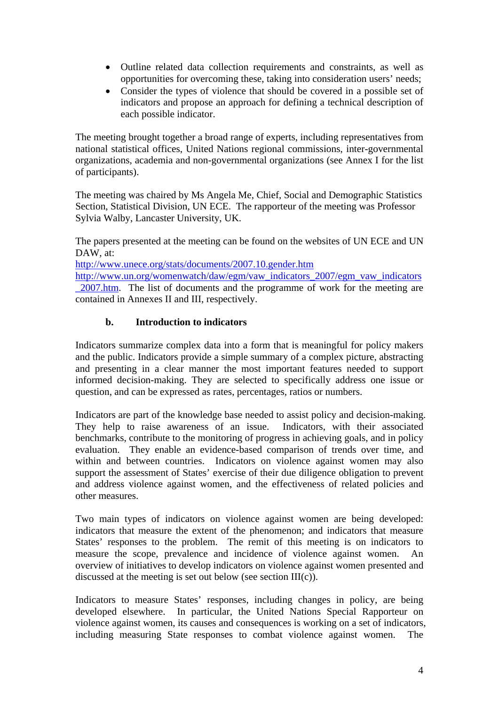- Outline related data collection requirements and constraints, as well as opportunities for overcoming these, taking into consideration users' needs;
- Consider the types of violence that should be covered in a possible set of indicators and propose an approach for defining a technical description of each possible indicator.

The meeting brought together a broad range of experts, including representatives from national statistical offices, United Nations regional commissions, inter-governmental organizations, academia and non-governmental organizations (see Annex I for the list of participants).

The meeting was chaired by Ms Angela Me, Chief, Social and Demographic Statistics Section, Statistical Division, UN ECE. The rapporteur of the meeting was Professor Sylvia Walby, Lancaster University, UK.

The papers presented at the meeting can be found on the websites of UN ECE and UN DAW, at:

<http://www.unece.org/stats/documents/2007.10.gender.htm>

[http://www.un.org/womenwatch/daw/egm/vaw\\_indicators\\_2007/egm\\_vaw\\_indicators](http://www.un.org/womenwatch/daw/egm/vaw_indicators_2007/egm_vaw_indicators_2007.htm) [\\_2007.htm.](http://www.un.org/womenwatch/daw/egm/vaw_indicators_2007/egm_vaw_indicators_2007.htm) The list of documents and the programme of work for the meeting are contained in Annexes II and III, respectively.

## **b. Introduction to indicators**

Indicators summarize complex data into a form that is meaningful for policy makers and the public. Indicators provide a simple summary of a complex picture, abstracting and presenting in a clear manner the most important features needed to support informed decision-making. They are selected to specifically address one issue or question, and can be expressed as rates, percentages, ratios or numbers.

Indicators are part of the knowledge base needed to assist policy and decision-making. They help to raise awareness of an issue. Indicators, with their associated benchmarks, contribute to the monitoring of progress in achieving goals, and in policy evaluation. They enable an evidence-based comparison of trends over time, and within and between countries. Indicators on violence against women may also support the assessment of States' exercise of their due diligence obligation to prevent and address violence against women, and the effectiveness of related policies and other measures.

Two main types of indicators on violence against women are being developed: indicators that measure the extent of the phenomenon; and indicators that measure States' responses to the problem. The remit of this meeting is on indicators to measure the scope, prevalence and incidence of violence against women. An overview of initiatives to develop indicators on violence against women presented and discussed at the meeting is set out below (see section  $III(c)$ ).

Indicators to measure States' responses, including changes in policy, are being developed elsewhere. In particular, the United Nations Special Rapporteur on violence against women, its causes and consequences is working on a set of indicators, including measuring State responses to combat violence against women. The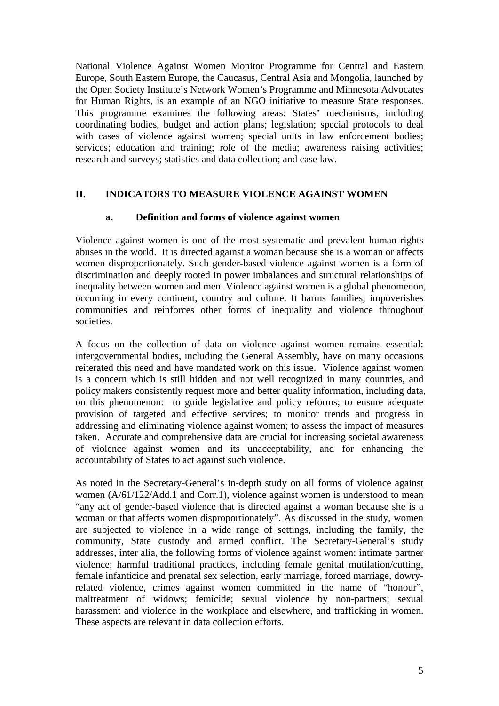National Violence Against Women Monitor Programme for Central and Eastern Europe, South Eastern Europe, the Caucasus, Central Asia and Mongolia, launched by the Open Society Institute's Network Women's Programme and Minnesota Advocates for Human Rights, is an example of an NGO initiative to measure State responses. This programme examines the following areas: States' mechanisms, including coordinating bodies, budget and action plans; legislation; special protocols to deal with cases of violence against women; special units in law enforcement bodies; services; education and training; role of the media; awareness raising activities; research and surveys; statistics and data collection; and case law.

## **II. INDICATORS TO MEASURE VIOLENCE AGAINST WOMEN**

### **a. Definition and forms of violence against women**

Violence against women is one of the most systematic and prevalent human rights abuses in the world. It is directed against a woman because she is a woman or affects women disproportionately. Such gender-based violence against women is a form of discrimination and deeply rooted in power imbalances and structural relationships of inequality between women and men. Violence against women is a global phenomenon, occurring in every continent, country and culture. It harms families, impoverishes communities and reinforces other forms of inequality and violence throughout societies.

A focus on the collection of data on violence against women remains essential: intergovernmental bodies, including the General Assembly, have on many occasions reiterated this need and have mandated work on this issue. Violence against women is a concern which is still hidden and not well recognized in many countries, and policy makers consistently request more and better quality information, including data, on this phenomenon: to guide legislative and policy reforms; to ensure adequate provision of targeted and effective services; to monitor trends and progress in addressing and eliminating violence against women; to assess the impact of measures taken. Accurate and comprehensive data are crucial for increasing societal awareness of violence against women and its unacceptability, and for enhancing the accountability of States to act against such violence.

As noted in the Secretary-General's in-depth study on all forms of violence against women (A/61/122/Add.1 and Corr.1), violence against women is understood to mean "any act of gender-based violence that is directed against a woman because she is a woman or that affects women disproportionately". As discussed in the study, women are subjected to violence in a wide range of settings, including the family, the community, State custody and armed conflict. The Secretary-General's study addresses, inter alia, the following forms of violence against women: intimate partner violence; harmful traditional practices, including female genital mutilation/cutting, female infanticide and prenatal sex selection, early marriage, forced marriage, dowryrelated violence, crimes against women committed in the name of "honour", maltreatment of widows; femicide; sexual violence by non-partners; sexual harassment and violence in the workplace and elsewhere, and trafficking in women. These aspects are relevant in data collection efforts.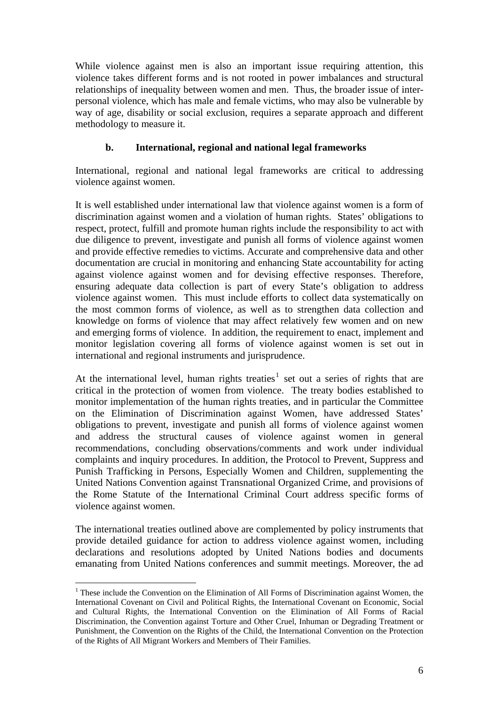While violence against men is also an important issue requiring attention, this violence takes different forms and is not rooted in power imbalances and structural relationships of inequality between women and men. Thus, the broader issue of interpersonal violence, which has male and female victims, who may also be vulnerable by way of age, disability or social exclusion, requires a separate approach and different methodology to measure it.

## **b. International, regional and national legal frameworks**

International, regional and national legal frameworks are critical to addressing violence against women.

It is well established under international law that violence against women is a form of discrimination against women and a violation of human rights. States' obligations to respect, protect, fulfill and promote human rights include the responsibility to act with due diligence to prevent, investigate and punish all forms of violence against women and provide effective remedies to victims. Accurate and comprehensive data and other documentation are crucial in monitoring and enhancing State accountability for acting against violence against women and for devising effective responses. Therefore, ensuring adequate data collection is part of every State's obligation to address violence against women. This must include efforts to collect data systematically on the most common forms of violence, as well as to strengthen data collection and knowledge on forms of violence that may affect relatively few women and on new and emerging forms of violence. In addition, the requirement to enact, implement and monitor legislation covering all forms of violence against women is set out in international and regional instruments and jurisprudence.

At the international level, human rights treaties<sup>[1](#page-5-0)</sup> set out a series of rights that are critical in the protection of women from violence. The treaty bodies established to monitor implementation of the human rights treaties, and in particular the Committee on the Elimination of Discrimination against Women, have addressed States' obligations to prevent, investigate and punish all forms of violence against women and address the structural causes of violence against women in general recommendations, concluding observations/comments and work under individual complaints and inquiry procedures. In addition, the Protocol to Prevent, Suppress and Punish Trafficking in Persons, Especially Women and Children, supplementing the United Nations Convention against Transnational Organized Crime, and provisions of the Rome Statute of the International Criminal Court address specific forms of violence against women.

The international treaties outlined above are complemented by policy instruments that provide detailed guidance for action to address violence against women, including declarations and resolutions adopted by United Nations bodies and documents emanating from United Nations conferences and summit meetings. Moreover, the ad

1

<span id="page-5-0"></span><sup>&</sup>lt;sup>1</sup> These include the Convention on the Elimination of All Forms of Discrimination against Women, the International Covenant on Civil and Political Rights, the International Covenant on Economic, Social and Cultural Rights, the International Convention on the Elimination of All Forms of Racial Discrimination, the Convention against Torture and Other Cruel, Inhuman or Degrading Treatment or Punishment, the Convention on the Rights of the Child, the International Convention on the Protection of the Rights of All Migrant Workers and Members of Their Families.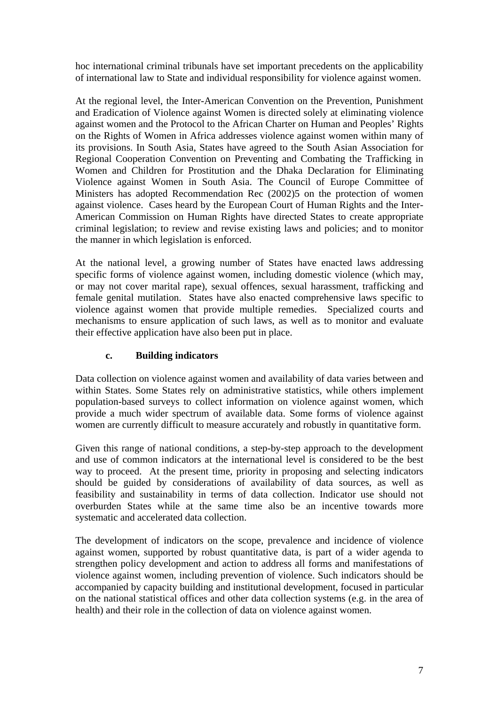hoc international criminal tribunals have set important precedents on the applicability of international law to State and individual responsibility for violence against women.

At the regional level, the Inter-American Convention on the Prevention, Punishment and Eradication of Violence against Women is directed solely at eliminating violence against women and the Protocol to the African Charter on Human and Peoples' Rights on the Rights of Women in Africa addresses violence against women within many of its provisions. In South Asia, States have agreed to the South Asian Association for Regional Cooperation Convention on Preventing and Combating the Trafficking in Women and Children for Prostitution and the Dhaka Declaration for Eliminating Violence against Women in South Asia. The Council of Europe Committee of Ministers has adopted Recommendation Rec (2002)5 on the protection of women against violence. Cases heard by the European Court of Human Rights and the Inter-American Commission on Human Rights have directed States to create appropriate criminal legislation; to review and revise existing laws and policies; and to monitor the manner in which legislation is enforced.

At the national level, a growing number of States have enacted laws addressing specific forms of violence against women, including domestic violence (which may, or may not cover marital rape), sexual offences, sexual harassment, trafficking and female genital mutilation. States have also enacted comprehensive laws specific to violence against women that provide multiple remedies. Specialized courts and mechanisms to ensure application of such laws, as well as to monitor and evaluate their effective application have also been put in place.

## **c. Building indicators**

Data collection on violence against women and availability of data varies between and within States. Some States rely on administrative statistics, while others implement population-based surveys to collect information on violence against women, which provide a much wider spectrum of available data. Some forms of violence against women are currently difficult to measure accurately and robustly in quantitative form.

Given this range of national conditions, a step-by-step approach to the development and use of common indicators at the international level is considered to be the best way to proceed. At the present time, priority in proposing and selecting indicators should be guided by considerations of availability of data sources, as well as feasibility and sustainability in terms of data collection. Indicator use should not overburden States while at the same time also be an incentive towards more systematic and accelerated data collection.

The development of indicators on the scope, prevalence and incidence of violence against women, supported by robust quantitative data, is part of a wider agenda to strengthen policy development and action to address all forms and manifestations of violence against women, including prevention of violence. Such indicators should be accompanied by capacity building and institutional development, focused in particular on the national statistical offices and other data collection systems (e.g. in the area of health) and their role in the collection of data on violence against women.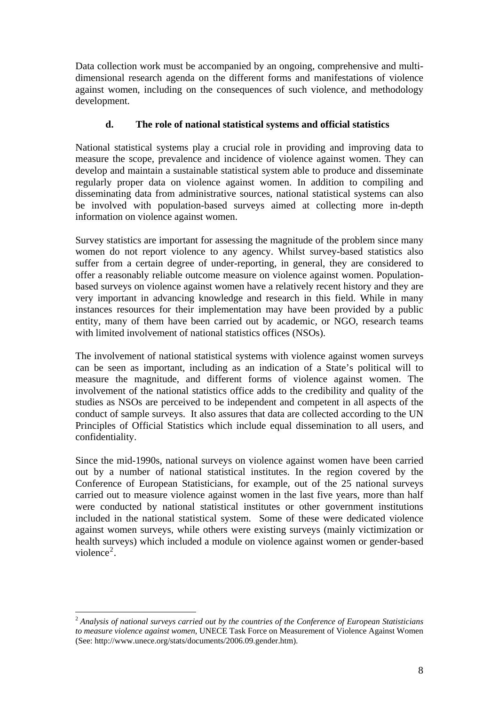Data collection work must be accompanied by an ongoing, comprehensive and multidimensional research agenda on the different forms and manifestations of violence against women, including on the consequences of such violence, and methodology development.

## **d. The role of national statistical systems and official statistics**

National statistical systems play a crucial role in providing and improving data to measure the scope, prevalence and incidence of violence against women. They can develop and maintain a sustainable statistical system able to produce and disseminate regularly proper data on violence against women. In addition to compiling and disseminating data from administrative sources, national statistical systems can also be involved with population-based surveys aimed at collecting more in-depth information on violence against women.

Survey statistics are important for assessing the magnitude of the problem since many women do not report violence to any agency. Whilst survey-based statistics also suffer from a certain degree of under-reporting, in general, they are considered to offer a reasonably reliable outcome measure on violence against women. Populationbased surveys on violence against women have a relatively recent history and they are very important in advancing knowledge and research in this field. While in many instances resources for their implementation may have been provided by a public entity, many of them have been carried out by academic, or NGO, research teams with limited involvement of national statistics offices (NSOs).

The involvement of national statistical systems with violence against women surveys can be seen as important, including as an indication of a State's political will to measure the magnitude, and different forms of violence against women. The involvement of the national statistics office adds to the credibility and quality of the studies as NSOs are perceived to be independent and competent in all aspects of the conduct of sample surveys. It also assures that data are collected according to the UN Principles of Official Statistics which include equal dissemination to all users, and confidentiality.

Since the mid-1990s, national surveys on violence against women have been carried out by a number of national statistical institutes. In the region covered by the Conference of European Statisticians, for example, out of the 25 national surveys carried out to measure violence against women in the last five years, more than half were conducted by national statistical institutes or other government institutions included in the national statistical system. Some of these were dedicated violence against women surveys, while others were existing surveys (mainly victimization or health surveys) which included a module on violence against women or gender-based violence<sup>[2](#page-7-0)</sup>.

1

<span id="page-7-0"></span><sup>2</sup> *Analysis of national surveys carried out by the countries of the Conference of European Statisticians to measure violence against women*, UNECE Task Force on Measurement of Violence Against Women (See: http://www.unece.org/stats/documents/2006.09.gender.htm).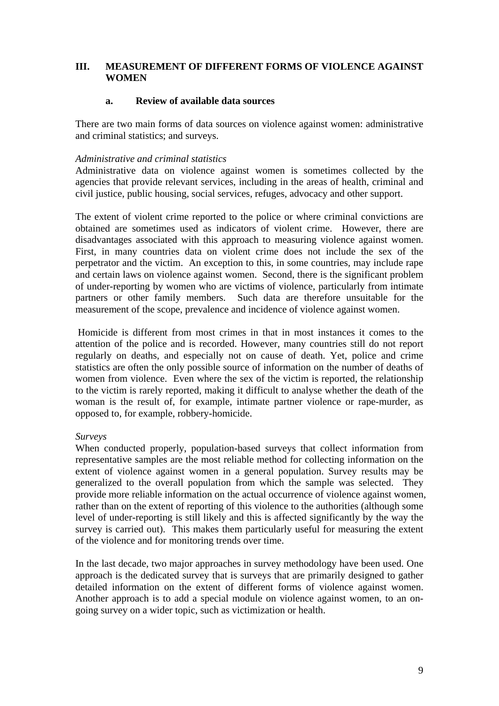## **III. MEASUREMENT OF DIFFERENT FORMS OF VIOLENCE AGAINST WOMEN**

### **a. Review of available data sources**

There are two main forms of data sources on violence against women: administrative and criminal statistics; and surveys.

## *Administrative and criminal statistics*

Administrative data on violence against women is sometimes collected by the agencies that provide relevant services, including in the areas of health, criminal and civil justice, public housing, social services, refuges, advocacy and other support.

The extent of violent crime reported to the police or where criminal convictions are obtained are sometimes used as indicators of violent crime. However, there are disadvantages associated with this approach to measuring violence against women. First, in many countries data on violent crime does not include the sex of the perpetrator and the victim. An exception to this, in some countries, may include rape and certain laws on violence against women. Second, there is the significant problem of under-reporting by women who are victims of violence, particularly from intimate partners or other family members. Such data are therefore unsuitable for the measurement of the scope, prevalence and incidence of violence against women.

 Homicide is different from most crimes in that in most instances it comes to the attention of the police and is recorded. However, many countries still do not report regularly on deaths, and especially not on cause of death. Yet, police and crime statistics are often the only possible source of information on the number of deaths of women from violence. Even where the sex of the victim is reported, the relationship to the victim is rarely reported, making it difficult to analyse whether the death of the woman is the result of, for example, intimate partner violence or rape-murder, as opposed to, for example, robbery-homicide.

### *Surveys*

When conducted properly, population-based surveys that collect information from representative samples are the most reliable method for collecting information on the extent of violence against women in a general population. Survey results may be generalized to the overall population from which the sample was selected. They provide more reliable information on the actual occurrence of violence against women, rather than on the extent of reporting of this violence to the authorities (although some level of under-reporting is still likely and this is affected significantly by the way the survey is carried out). This makes them particularly useful for measuring the extent of the violence and for monitoring trends over time.

In the last decade, two major approaches in survey methodology have been used. One approach is the dedicated survey that is surveys that are primarily designed to gather detailed information on the extent of different forms of violence against women. Another approach is to add a special module on violence against women, to an ongoing survey on a wider topic, such as victimization or health.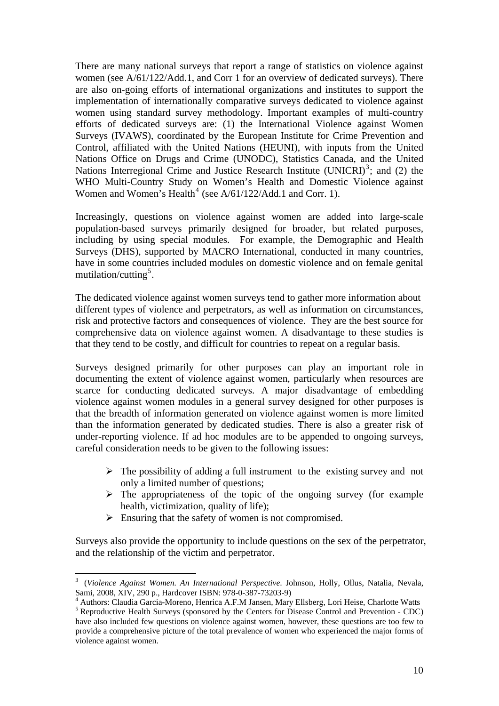There are many national surveys that report a range of statistics on violence against women (see A/61/122/Add.1, and Corr 1 for an overview of dedicated surveys). There are also on-going efforts of international organizations and institutes to support the implementation of internationally comparative surveys dedicated to violence against women using standard survey methodology. Important examples of multi-country efforts of dedicated surveys are: (1) the International Violence against Women Surveys (IVAWS), coordinated by the European Institute for Crime Prevention and Control, affiliated with the United Nations (HEUNI), with inputs from the United Nations Office on Drugs and Crime (UNODC), Statistics Canada, and the United Nations Interregional Crime and Justice Research Institute (UNICRI) $3$ ; and (2) the WHO Multi-Country Study on Women's Health and Domestic Violence against Women and Women's Health<sup>[4](#page-9-1)</sup> (see A/61/122/Add.1 and Corr. 1).

Increasingly, questions on violence against women are added into large-scale population-based surveys primarily designed for broader, but related purposes, including by using special modules. For example, the Demographic and Health Surveys (DHS), supported by MACRO International, conducted in many countries, have in some countries included modules on domestic violence and on female genital mutilation/cutting<sup>[5](#page-9-2)</sup>.

The dedicated violence against women surveys tend to gather more information about different types of violence and perpetrators, as well as information on circumstances, risk and protective factors and consequences of violence. They are the best source for comprehensive data on violence against women. A disadvantage to these studies is that they tend to be costly, and difficult for countries to repeat on a regular basis.

Surveys designed primarily for other purposes can play an important role in documenting the extent of violence against women, particularly when resources are scarce for conducting dedicated surveys. A major disadvantage of embedding violence against women modules in a general survey designed for other purposes is that the breadth of information generated on violence against women is more limited than the information generated by dedicated studies. There is also a greater risk of under-reporting violence. If ad hoc modules are to be appended to ongoing surveys, careful consideration needs to be given to the following issues:

- $\triangleright$  The possibility of adding a full instrument to the existing survey and not only a limited number of questions;
- $\triangleright$  The appropriateness of the topic of the ongoing survey (for example health, victimization, quality of life);
- $\triangleright$  Ensuring that the safety of women is not compromised.

1

Surveys also provide the opportunity to include questions on the sex of the perpetrator, and the relationship of the victim and perpetrator.

<span id="page-9-0"></span><sup>3</sup> (*Violence Against Women. An International Perspective*. Johnson, Holly, Ollus, Natalia, Nevala, Sami, 2008, XIV, 290 p., Hardcover ISBN: 978-0-387-73203-9)

<sup>4</sup> Authors: Claudia Garcia-Moreno, Henrica A.F.M Jansen, Mary Ellsberg, Lori Heise, Charlotte Watts 5

<span id="page-9-2"></span><span id="page-9-1"></span> $\overline{S}$  Reproductive Health Surveys (sponsored by the Centers for Disease Control and Prevention - CDC) have also included few questions on violence against women, however, these questions are too few to provide a comprehensive picture of the total prevalence of women who experienced the major forms of violence against women.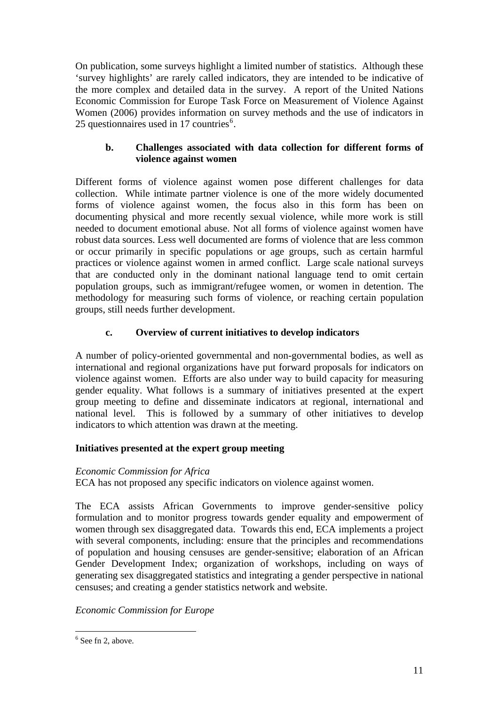On publication, some surveys highlight a limited number of statistics. Although these 'survey highlights' are rarely called indicators, they are intended to be indicative of the more complex and detailed data in the survey. A report of the United Nations Economic Commission for Europe Task Force on Measurement of Violence Against Women (2006) provides information on survey methods and the use of indicators in 25 questionnaires used in 17 countries<sup>[6](#page-10-0)</sup>.

## **b. Challenges associated with data collection for different forms of violence against women**

Different forms of violence against women pose different challenges for data collection. While intimate partner violence is one of the more widely documented forms of violence against women, the focus also in this form has been on documenting physical and more recently sexual violence, while more work is still needed to document emotional abuse. Not all forms of violence against women have robust data sources. Less well documented are forms of violence that are less common or occur primarily in specific populations or age groups, such as certain harmful practices or violence against women in armed conflict. Large scale national surveys that are conducted only in the dominant national language tend to omit certain population groups, such as immigrant/refugee women, or women in detention. The methodology for measuring such forms of violence, or reaching certain population groups, still needs further development.

## **c. Overview of current initiatives to develop indicators**

A number of policy-oriented governmental and non-governmental bodies, as well as international and regional organizations have put forward proposals for indicators on violence against women. Efforts are also under way to build capacity for measuring gender equality. What follows is a summary of initiatives presented at the expert group meeting to define and disseminate indicators at regional, international and national level. This is followed by a summary of other initiatives to develop indicators to which attention was drawn at the meeting.

## **Initiatives presented at the expert group meeting**

## *Economic Commission for Africa*

ECA has not proposed any specific indicators on violence against women.

The ECA assists African Governments to improve gender-sensitive policy formulation and to monitor progress towards gender equality and empowerment of women through sex disaggregated data. Towards this end, ECA implements a project with several components, including: ensure that the principles and recommendations of population and housing censuses are gender-sensitive; elaboration of an African Gender Development Index; organization of workshops, including on ways of generating sex disaggregated statistics and integrating a gender perspective in national censuses; and creating a gender statistics network and website.

*Economic Commission for Europe* 

1

<span id="page-10-0"></span> $6$  See fn 2, above.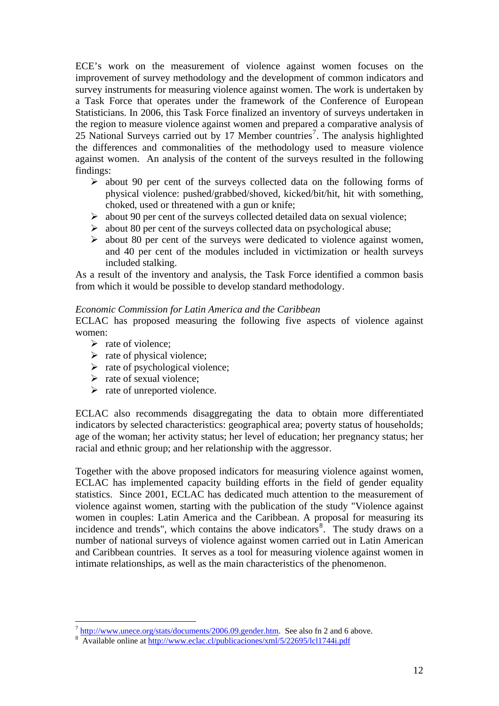ECE's work on the measurement of violence against women focuses on the improvement of survey methodology and the development of common indicators and survey instruments for measuring violence against women. The work is undertaken by a Task Force that operates under the framework of the Conference of European Statisticians. In 2006, this Task Force finalized an inventory of surveys undertaken in the region to measure violence against women and prepared a comparative analysis of 25 National Surveys carried out by 1[7](#page-11-0) Member countries<sup>7</sup>. The analysis highlighted the differences and commonalities of the methodology used to measure violence against women. An analysis of the content of the surveys resulted in the following findings:

- $\triangleright$  about 90 per cent of the surveys collected data on the following forms of physical violence: pushed/grabbed/shoved, kicked/bit/hit, hit with something, choked, used or threatened with a gun or knife;
- $\triangleright$  about 90 per cent of the surveys collected detailed data on sexual violence;
- $\triangleright$  about 80 per cent of the surveys collected data on psychological abuse;
- $\triangleright$  about 80 per cent of the surveys were dedicated to violence against women, and 40 per cent of the modules included in victimization or health surveys included stalking.

As a result of the inventory and analysis, the Task Force identified a common basis from which it would be possible to develop standard methodology.

### *Economic Commission for Latin America and the Caribbean*

ECLAC has proposed measuring the following five aspects of violence against women:

 $\triangleright$  rate of violence:

<u>.</u>

- $\triangleright$  rate of physical violence;
- $\triangleright$  rate of psychological violence;
- $\triangleright$  rate of sexual violence:
- $\triangleright$  rate of unreported violence.

ECLAC also recommends disaggregating the data to obtain more differentiated indicators by selected characteristics: geographical area; poverty status of households; age of the woman; her activity status; her level of education; her pregnancy status; her racial and ethnic group; and her relationship with the aggressor.

Together with the above proposed indicators for measuring violence against women, ECLAC has implemented capacity building efforts in the field of gender equality statistics. Since 2001, ECLAC has dedicated much attention to the measurement of violence against women, starting with the publication of the study "Violence against women in couples: Latin America and the Caribbean. A proposal for measuring its incidence and trends", which contains the above indicators<sup>[8](#page-11-1)</sup>. The study draws on a number of national surveys of violence against women carried out in Latin American and Caribbean countries. It serves as a tool for measuring violence against women in intimate relationships, as well as the main characteristics of the phenomenon.

<span id="page-11-0"></span> $\frac{7 \text{ http://www.unece.org/stats/documents/2006.09.gender.htm}}{3 \text{ http://www.unece.org/stats/documents/2006.09.gender.htm}}$ . See also fn 2 and 6 above.

<span id="page-11-1"></span> $\frac{\text{A}}{\text{A}}$ vailable online at <http://www.eclac.cl/publicaciones/xml/5/22695/lcl1744i.pdf>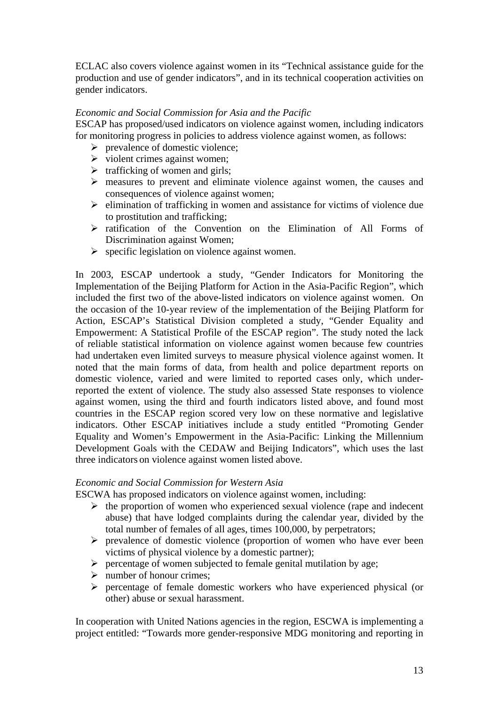ECLAC also covers violence against women in its "Technical assistance guide for the production and use of gender indicators", and in its technical cooperation activities on gender indicators.

## *Economic and Social Commission for Asia and the Pacific*

ESCAP has proposed/used indicators on violence against women, including indicators for monitoring progress in policies to address violence against women, as follows:

- $\triangleright$  prevalence of domestic violence;
- $\triangleright$  violent crimes against women;
- $\triangleright$  trafficking of women and girls:
- $\triangleright$  measures to prevent and eliminate violence against women, the causes and consequences of violence against women;
- $\triangleright$  elimination of trafficking in women and assistance for victims of violence due to prostitution and trafficking;
- $\triangleright$  ratification of the Convention on the Elimination of All Forms of Discrimination against Women;
- $\triangleright$  specific legislation on violence against women.

In 2003, ESCAP undertook a study, "Gender Indicators for Monitoring the Implementation of the Beijing Platform for Action in the Asia-Pacific Region", which included the first two of the above-listed indicators on violence against women. On the occasion of the 10-year review of the implementation of the Beijing Platform for Action, ESCAP's Statistical Division completed a study, "Gender Equality and Empowerment: A Statistical Profile of the ESCAP region". The study noted the lack of reliable statistical information on violence against women because few countries had undertaken even limited surveys to measure physical violence against women. It noted that the main forms of data, from health and police department reports on domestic violence, varied and were limited to reported cases only, which underreported the extent of violence. The study also assessed State responses to violence against women, using the third and fourth indicators listed above, and found most countries in the ESCAP region scored very low on these normative and legislative indicators. Other ESCAP initiatives include a study entitled "Promoting Gender Equality and Women's Empowerment in the Asia-Pacific: Linking the Millennium Development Goals with the CEDAW and Beijing Indicators", which uses the last three indicators on violence against women listed above.

### *Economic and Social Commission for Western Asia*

ESCWA has proposed indicators on violence against women, including:

- $\triangleright$  the proportion of women who experienced sexual violence (rape and indecent abuse) that have lodged complaints during the calendar year, divided by the total number of females of all ages, times 100,000, by perpetrators;
- $\triangleright$  prevalence of domestic violence (proportion of women who have ever been victims of physical violence by a domestic partner);
- $\triangleright$  percentage of women subjected to female genital mutilation by age;
- $\triangleright$  number of honour crimes;
- $\triangleright$  percentage of female domestic workers who have experienced physical (or other) abuse or sexual harassment.

In cooperation with United Nations agencies in the region, ESCWA is implementing a project entitled: "Towards more gender-responsive MDG monitoring and reporting in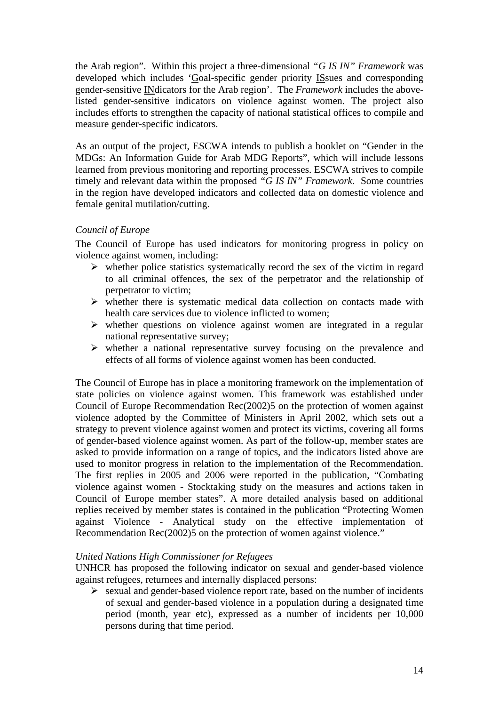the Arab region". Within this project a three-dimensional *"G IS IN" Framework* was developed which includes 'Goal-specific gender priority ISsues and corresponding gender-sensitive INdicators for the Arab region'. The *Framework* includes the abovelisted gender-sensitive indicators on violence against women. The project also includes efforts to strengthen the capacity of national statistical offices to compile and measure gender-specific indicators.

As an output of the project, ESCWA intends to publish a booklet on "Gender in the MDGs: An Information Guide for Arab MDG Reports", which will include lessons learned from previous monitoring and reporting processes. ESCWA strives to compile timely and relevant data within the proposed *"G IS IN" Framework*. Some countries in the region have developed indicators and collected data on domestic violence and female genital mutilation/cutting.

## *Council of Europe*

The Council of Europe has used indicators for monitoring progress in policy on violence against women, including:

- $\triangleright$  whether police statistics systematically record the sex of the victim in regard to all criminal offences, the sex of the perpetrator and the relationship of perpetrator to victim;
- $\triangleright$  whether there is systematic medical data collection on contacts made with health care services due to violence inflicted to women;
- $\triangleright$  whether questions on violence against women are integrated in a regular national representative survey;
- $\triangleright$  whether a national representative survey focusing on the prevalence and effects of all forms of violence against women has been conducted.

The Council of Europe has in place a monitoring framework on the implementation of state policies on violence against women. This framework was established under Council of Europe Recommendation Rec(2002)5 on the protection of women against violence adopted by the Committee of Ministers in April 2002, which sets out a strategy to prevent violence against women and protect its victims, covering all forms of gender-based violence against women. As part of the follow-up, member states are asked to provide information on a range of topics, and the indicators listed above are used to monitor progress in relation to the implementation of the Recommendation. The first replies in 2005 and 2006 were reported in the publication, "Combating violence against women - Stocktaking study on the measures and actions taken in Council of Europe member states". A more detailed analysis based on additional replies received by member states is contained in the publication "Protecting Women against Violence - Analytical study on the effective implementation of Recommendation Rec(2002)5 on the protection of women against violence."

## *United Nations High Commissioner for Refugees*

UNHCR has proposed the following indicator on sexual and gender-based violence against refugees, returnees and internally displaced persons:

 $\triangleright$  sexual and gender-based violence report rate, based on the number of incidents of sexual and gender-based violence in a population during a designated time period (month, year etc), expressed as a number of incidents per 10,000 persons during that time period.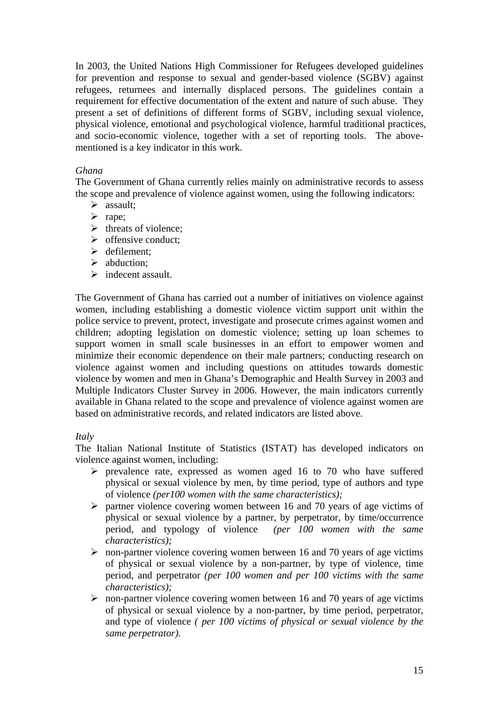In 2003, the United Nations High Commissioner for Refugees developed guidelines for prevention and response to sexual and gender-based violence (SGBV) against refugees, returnees and internally displaced persons. The guidelines contain a requirement for effective documentation of the extent and nature of such abuse. They present a set of definitions of different forms of SGBV, including sexual violence, physical violence, emotional and psychological violence, harmful traditional practices, and socio-economic violence, together with a set of reporting tools. The abovementioned is a key indicator in this work.

## *Ghana*

The Government of Ghana currently relies mainly on administrative records to assess the scope and prevalence of violence against women, using the following indicators:

- $\triangleright$  assault;
- $\triangleright$  rape;
- $\triangleright$  threats of violence;
- $\triangleright$  offensive conduct:
- $\triangleright$  defilement:
- $\triangleright$  abduction:
- $\triangleright$  indecent assault.

The Government of Ghana has carried out a number of initiatives on violence against women, including establishing a domestic violence victim support unit within the police service to prevent, protect, investigate and prosecute crimes against women and children; adopting legislation on domestic violence; setting up loan schemes to support women in small scale businesses in an effort to empower women and minimize their economic dependence on their male partners; conducting research on violence against women and including questions on attitudes towards domestic violence by women and men in Ghana's Demographic and Health Survey in 2003 and Multiple Indicators Cluster Survey in 2006. However, the main indicators currently available in Ghana related to the scope and prevalence of violence against women are based on administrative records, and related indicators are listed above.

### *Italy*

The Italian National Institute of Statistics (ISTAT) has developed indicators on violence against women, including:

- $\triangleright$  prevalence rate, expressed as women aged 16 to 70 who have suffered physical or sexual violence by men, by time period, type of authors and type of violence *(per100 women with the same characteristics);*
- $\triangleright$  partner violence covering women between 16 and 70 years of age victims of physical or sexual violence by a partner, by perpetrator, by time/occurrence period, and typology of violence *(per 100 women with the same characteristics);*
- $\triangleright$  non-partner violence covering women between 16 and 70 years of age victims of physical or sexual violence by a non-partner, by type of violence, time period, and perpetrator *(per 100 women and per 100 victims with the same characteristics);*
- $\triangleright$  non-partner violence covering women between 16 and 70 years of age victims of physical or sexual violence by a non-partner, by time period, perpetrator, and type of violence *( per 100 victims of physical or sexual violence by the same perpetrator).*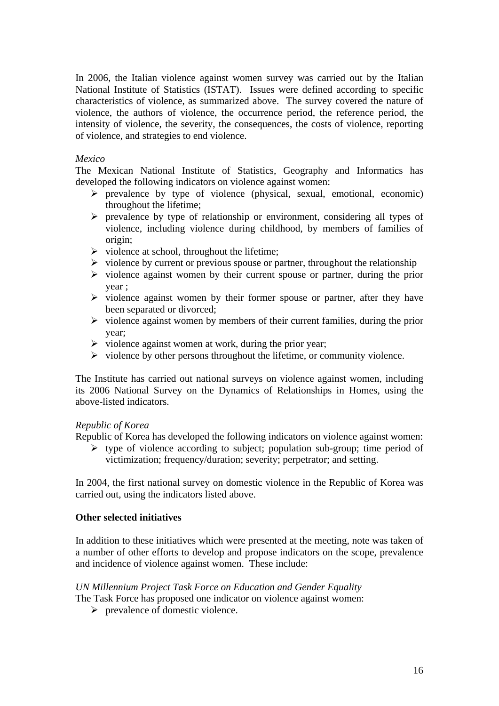In 2006, the Italian violence against women survey was carried out by the Italian National Institute of Statistics (ISTAT). Issues were defined according to specific characteristics of violence, as summarized above. The survey covered the nature of violence, the authors of violence, the occurrence period, the reference period, the intensity of violence, the severity, the consequences, the costs of violence, reporting of violence, and strategies to end violence.

## *Mexico*

The Mexican National Institute of Statistics, Geography and Informatics has developed the following indicators on violence against women:

- $\triangleright$  prevalence by type of violence (physical, sexual, emotional, economic) throughout the lifetime;
- $\triangleright$  prevalence by type of relationship or environment, considering all types of violence, including violence during childhood, by members of families of origin;
- $\triangleright$  violence at school, throughout the lifetime;
- $\triangleright$  violence by current or previous spouse or partner, throughout the relationship
- $\triangleright$  violence against women by their current spouse or partner, during the prior year ;
- $\triangleright$  violence against women by their former spouse or partner, after they have been separated or divorced;
- $\triangleright$  violence against women by members of their current families, during the prior year;
- $\triangleright$  violence against women at work, during the prior year;
- $\triangleright$  violence by other persons throughout the lifetime, or community violence.

The Institute has carried out national surveys on violence against women, including its 2006 National Survey on the Dynamics of Relationships in Homes, using the above-listed indicators.

## *Republic of Korea*

Republic of Korea has developed the following indicators on violence against women:

 $\triangleright$  type of violence according to subject; population sub-group; time period of victimization; frequency/duration; severity; perpetrator; and setting.

In 2004, the first national survey on domestic violence in the Republic of Korea was carried out, using the indicators listed above.

## **Other selected initiatives**

In addition to these initiatives which were presented at the meeting, note was taken of a number of other efforts to develop and propose indicators on the scope, prevalence and incidence of violence against women. These include:

### *UN Millennium Project Task Force on Education and Gender Equality*

The Task Force has proposed one indicator on violence against women:

 $\triangleright$  prevalence of domestic violence.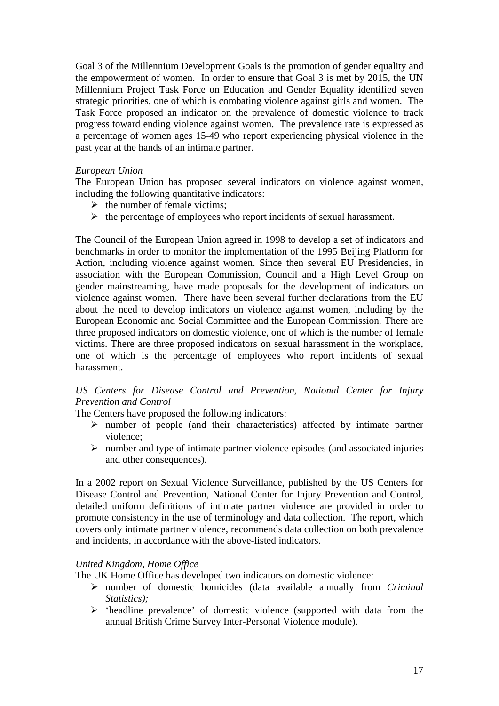Goal 3 of the Millennium Development Goals is the promotion of gender equality and the empowerment of women. In order to ensure that Goal 3 is met by 2015, the UN Millennium Project Task Force on Education and Gender Equality identified seven strategic priorities, one of which is combating violence against girls and women. The Task Force proposed an indicator on the prevalence of domestic violence to track progress toward ending violence against women. The prevalence rate is expressed as a percentage of women ages 15-49 who report experiencing physical violence in the past year at the hands of an intimate partner.

## *European Union*

The European Union has proposed several indicators on violence against women, including the following quantitative indicators:

- $\triangleright$  the number of female victims;
- $\triangleright$  the percentage of employees who report incidents of sexual harassment.

The Council of the European Union agreed in 1998 to develop a set of indicators and benchmarks in order to monitor the implementation of the 1995 Beijing Platform for Action, including violence against women. Since then several EU Presidencies, in association with the European Commission, Council and a High Level Group on gender mainstreaming, have made proposals for the development of indicators on violence against women. There have been several further declarations from the EU about the need to develop indicators on violence against women, including by the European Economic and Social Committee and the European Commission*.* There are three proposed indicators on domestic violence, one of which is the number of female victims. There are three proposed indicators on sexual harassment in the workplace, one of which is the percentage of employees who report incidents of sexual harassment.

## *US Centers for Disease Control and Prevention, National Center for Injury Prevention and Control*

The Centers have proposed the following indicators:

- $\triangleright$  number of people (and their characteristics) affected by intimate partner violence;
- $\triangleright$  number and type of intimate partner violence episodes (and associated injuries and other consequences).

In a 2002 report on Sexual Violence Surveillance, published by the US Centers for Disease Control and Prevention, National Center for Injury Prevention and Control, detailed uniform definitions of intimate partner violence are provided in order to promote consistency in the use of terminology and data collection. The report, which covers only intimate partner violence, recommends data collection on both prevalence and incidents, in accordance with the above-listed indicators.

### *United Kingdom, Home Office*

The UK Home Office has developed two indicators on domestic violence:

- ¾ number of domestic homicides (data available annually from *Criminal Statistics);*
- ¾ 'headline prevalence' of domestic violence (supported with data from the annual British Crime Survey Inter-Personal Violence module).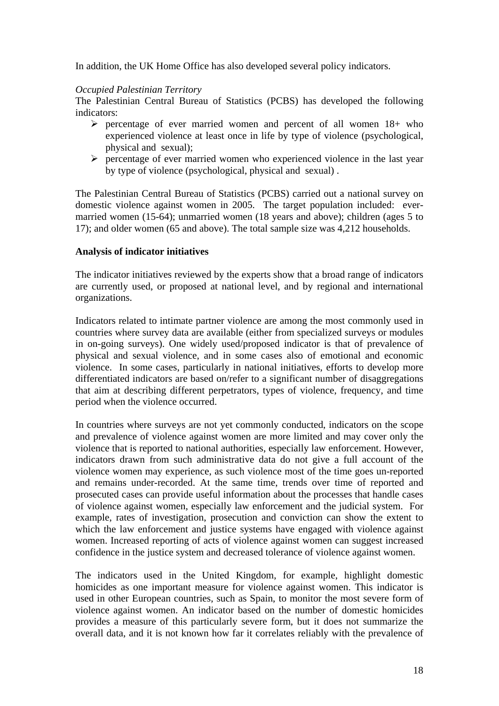In addition, the UK Home Office has also developed several policy indicators.

## *Occupied Palestinian Territory*

The Palestinian Central Bureau of Statistics (PCBS) has developed the following indicators:

- $\triangleright$  percentage of ever married women and percent of all women 18+ who experienced violence at least once in life by type of violence (psychological, physical and sexual);
- $\triangleright$  percentage of ever married women who experienced violence in the last year by type of violence (psychological, physical and sexual) .

The Palestinian Central Bureau of Statistics (PCBS) carried out a national survey on domestic violence against women in 2005. The target population included: evermarried women (15-64); unmarried women (18 years and above); children (ages 5 to 17); and older women (65 and above). The total sample size was 4,212 households.

## **Analysis of indicator initiatives**

The indicator initiatives reviewed by the experts show that a broad range of indicators are currently used, or proposed at national level, and by regional and international organizations.

Indicators related to intimate partner violence are among the most commonly used in countries where survey data are available (either from specialized surveys or modules in on-going surveys). One widely used/proposed indicator is that of prevalence of physical and sexual violence, and in some cases also of emotional and economic violence. In some cases, particularly in national initiatives, efforts to develop more differentiated indicators are based on/refer to a significant number of disaggregations that aim at describing different perpetrators, types of violence, frequency, and time period when the violence occurred.

In countries where surveys are not yet commonly conducted, indicators on the scope and prevalence of violence against women are more limited and may cover only the violence that is reported to national authorities, especially law enforcement. However, indicators drawn from such administrative data do not give a full account of the violence women may experience, as such violence most of the time goes un-reported and remains under-recorded. At the same time, trends over time of reported and prosecuted cases can provide useful information about the processes that handle cases of violence against women, especially law enforcement and the judicial system. For example, rates of investigation, prosecution and conviction can show the extent to which the law enforcement and justice systems have engaged with violence against women. Increased reporting of acts of violence against women can suggest increased confidence in the justice system and decreased tolerance of violence against women.

The indicators used in the United Kingdom, for example, highlight domestic homicides as one important measure for violence against women. This indicator is used in other European countries, such as Spain, to monitor the most severe form of violence against women. An indicator based on the number of domestic homicides provides a measure of this particularly severe form, but it does not summarize the overall data, and it is not known how far it correlates reliably with the prevalence of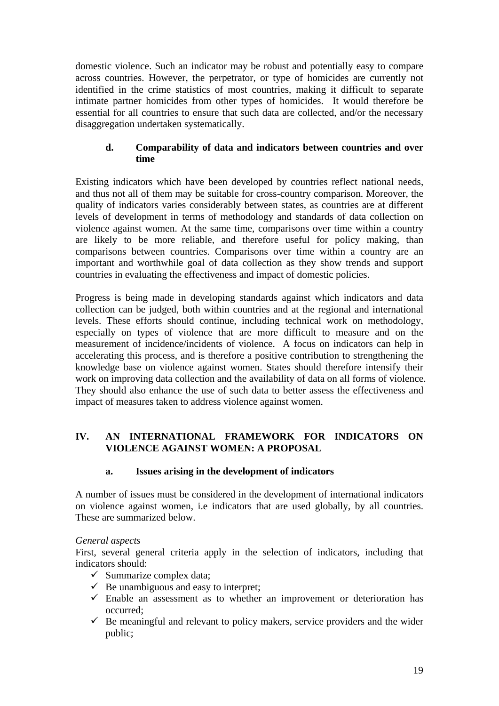domestic violence. Such an indicator may be robust and potentially easy to compare across countries. However, the perpetrator, or type of homicides are currently not identified in the crime statistics of most countries, making it difficult to separate intimate partner homicides from other types of homicides. It would therefore be essential for all countries to ensure that such data are collected, and/or the necessary disaggregation undertaken systematically.

## **d. Comparability of data and indicators between countries and over time**

Existing indicators which have been developed by countries reflect national needs, and thus not all of them may be suitable for cross-country comparison. Moreover, the quality of indicators varies considerably between states, as countries are at different levels of development in terms of methodology and standards of data collection on violence against women. At the same time, comparisons over time within a country are likely to be more reliable, and therefore useful for policy making, than comparisons between countries. Comparisons over time within a country are an important and worthwhile goal of data collection as they show trends and support countries in evaluating the effectiveness and impact of domestic policies.

Progress is being made in developing standards against which indicators and data collection can be judged, both within countries and at the regional and international levels. These efforts should continue, including technical work on methodology, especially on types of violence that are more difficult to measure and on the measurement of incidence/incidents of violence. A focus on indicators can help in accelerating this process, and is therefore a positive contribution to strengthening the knowledge base on violence against women. States should therefore intensify their work on improving data collection and the availability of data on all forms of violence. They should also enhance the use of such data to better assess the effectiveness and impact of measures taken to address violence against women.

## **IV. AN INTERNATIONAL FRAMEWORK FOR INDICATORS ON VIOLENCE AGAINST WOMEN: A PROPOSAL**

### **a. Issues arising in the development of indicators**

A number of issues must be considered in the development of international indicators on violence against women, i.e indicators that are used globally, by all countries. These are summarized below.

### *General aspects*

First, several general criteria apply in the selection of indicators, including that indicators should:

- $\checkmark$  Summarize complex data;
- $\checkmark$  Be unambiguous and easy to interpret;
- $\checkmark$  Enable an assessment as to whether an improvement or deterioration has occurred;
- $\checkmark$  Be meaningful and relevant to policy makers, service providers and the wider public;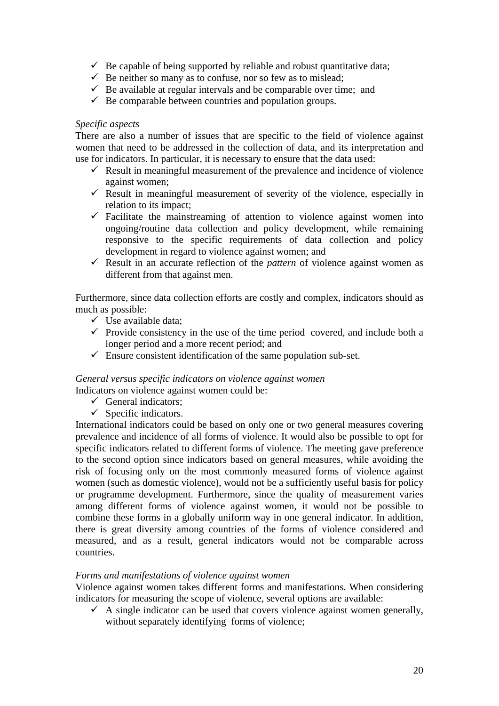- $\checkmark$  Be capable of being supported by reliable and robust quantitative data;
- $\checkmark$  Be neither so many as to confuse, nor so few as to mislead;
- $\checkmark$  Be available at regular intervals and be comparable over time; and
- $\checkmark$  Be comparable between countries and population groups.

## *Specific aspects*

There are also a number of issues that are specific to the field of violence against women that need to be addressed in the collection of data, and its interpretation and use for indicators. In particular, it is necessary to ensure that the data used:

- $\checkmark$  Result in meaningful measurement of the prevalence and incidence of violence against women;
- $\checkmark$  Result in meaningful measurement of severity of the violence, especially in relation to its impact;
- $\checkmark$  Facilitate the mainstreaming of attention to violence against women into ongoing/routine data collection and policy development, while remaining responsive to the specific requirements of data collection and policy development in regard to violence against women; and
- $\checkmark$  Result in an accurate reflection of the *pattern* of violence against women as different from that against men.

Furthermore, since data collection efforts are costly and complex, indicators should as much as possible:

- $\checkmark$  Use available data;
- $\checkmark$  Provide consistency in the use of the time period covered, and include both a longer period and a more recent period; and
- $\checkmark$  Ensure consistent identification of the same population sub-set.

## *General versus specific indicators on violence against women*

Indicators on violence against women could be:

- $\checkmark$  General indicators;
- $\checkmark$  Specific indicators.

International indicators could be based on only one or two general measures covering prevalence and incidence of all forms of violence. It would also be possible to opt for specific indicators related to different forms of violence. The meeting gave preference to the second option since indicators based on general measures, while avoiding the risk of focusing only on the most commonly measured forms of violence against women (such as domestic violence), would not be a sufficiently useful basis for policy or programme development. Furthermore, since the quality of measurement varies among different forms of violence against women, it would not be possible to combine these forms in a globally uniform way in one general indicator. In addition, there is great diversity among countries of the forms of violence considered and measured, and as a result, general indicators would not be comparable across countries.

### *Forms and manifestations of violence against women*

Violence against women takes different forms and manifestations. When considering indicators for measuring the scope of violence, several options are available:

 $\checkmark$  A single indicator can be used that covers violence against women generally, without separately identifying forms of violence;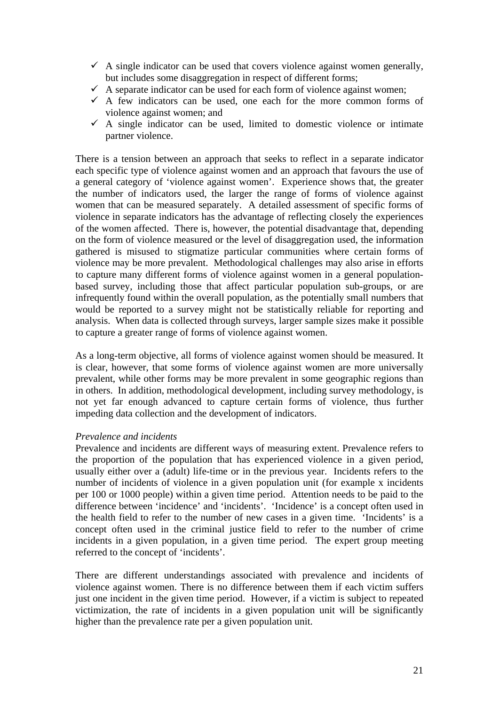- $\checkmark$  A single indicator can be used that covers violence against women generally, but includes some disaggregation in respect of different forms;
- $\checkmark$  A separate indicator can be used for each form of violence against women;
- $\checkmark$  A few indicators can be used, one each for the more common forms of violence against women; and
- $\checkmark$  A single indicator can be used, limited to domestic violence or intimate partner violence.

There is a tension between an approach that seeks to reflect in a separate indicator each specific type of violence against women and an approach that favours the use of a general category of 'violence against women'. Experience shows that, the greater the number of indicators used, the larger the range of forms of violence against women that can be measured separately. A detailed assessment of specific forms of violence in separate indicators has the advantage of reflecting closely the experiences of the women affected. There is, however, the potential disadvantage that, depending on the form of violence measured or the level of disaggregation used, the information gathered is misused to stigmatize particular communities where certain forms of violence may be more prevalent. Methodological challenges may also arise in efforts to capture many different forms of violence against women in a general populationbased survey, including those that affect particular population sub-groups, or are infrequently found within the overall population, as the potentially small numbers that would be reported to a survey might not be statistically reliable for reporting and analysis. When data is collected through surveys, larger sample sizes make it possible to capture a greater range of forms of violence against women.

As a long-term objective, all forms of violence against women should be measured. It is clear, however, that some forms of violence against women are more universally prevalent, while other forms may be more prevalent in some geographic regions than in others. In addition, methodological development, including survey methodology, is not yet far enough advanced to capture certain forms of violence, thus further impeding data collection and the development of indicators.

### *Prevalence and incidents*

Prevalence and incidents are different ways of measuring extent. Prevalence refers to the proportion of the population that has experienced violence in a given period, usually either over a (adult) life-time or in the previous year. Incidents refers to the number of incidents of violence in a given population unit (for example x incidents per 100 or 1000 people) within a given time period. Attention needs to be paid to the difference between 'incidence' and 'incidents'. 'Incidence' is a concept often used in the health field to refer to the number of new cases in a given time. 'Incidents' is a concept often used in the criminal justice field to refer to the number of crime incidents in a given population, in a given time period. The expert group meeting referred to the concept of 'incidents'.

There are different understandings associated with prevalence and incidents of violence against women. There is no difference between them if each victim suffers just one incident in the given time period. However, if a victim is subject to repeated victimization, the rate of incidents in a given population unit will be significantly higher than the prevalence rate per a given population unit.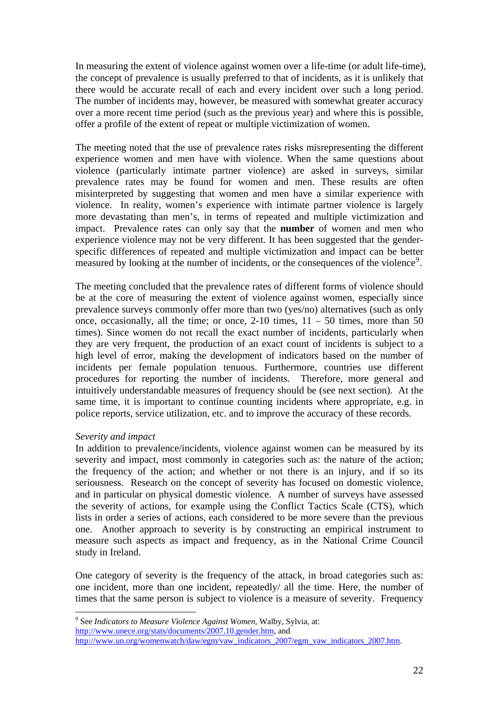In measuring the extent of violence against women over a life-time (or adult life-time), the concept of prevalence is usually preferred to that of incidents, as it is unlikely that there would be accurate recall of each and every incident over such a long period. The number of incidents may, however, be measured with somewhat greater accuracy over a more recent time period (such as the previous year) and where this is possible, offer a profile of the extent of repeat or multiple victimization of women.

The meeting noted that the use of prevalence rates risks misrepresenting the different experience women and men have with violence. When the same questions about violence (particularly intimate partner violence) are asked in surveys, similar prevalence rates may be found for women and men. These results are often misinterpreted by suggesting that women and men have a similar experience with violence. In reality, women's experience with intimate partner violence is largely more devastating than men's, in terms of repeated and multiple victimization and impact. Prevalence rates can only say that the **number** of women and men who experience violence may not be very different. It has been suggested that the genderspecific differences of repeated and multiple victimization and impact can be better measured by looking at the number of incidents, or the consequences of the violence<sup>[9](#page-21-0)</sup>.

The meeting concluded that the prevalence rates of different forms of violence should be at the core of measuring the extent of violence against women, especially since prevalence surveys commonly offer more than two (yes/no) alternatives (such as only once, occasionally, all the time; or once,  $2-10$  times,  $11 - 50$  times, more than 50 times). Since women do not recall the exact number of incidents, particularly when they are very frequent, the production of an exact count of incidents is subject to a high level of error, making the development of indicators based on the number of incidents per female population tenuous. Furthermore, countries use different procedures for reporting the number of incidents. Therefore, more general and intuitively understandable measures of frequency should be (see next section). At the same time, it is important to continue counting incidents where appropriate, e.g. in police reports, service utilization, etc. and to improve the accuracy of these records.

### *Severity and impact*

1

In addition to prevalence/incidents, violence against women can be measured by its severity and impact, most commonly in categories such as: the nature of the action; the frequency of the action; and whether or not there is an injury, and if so its seriousness. Research on the concept of severity has focused on domestic violence, and in particular on physical domestic violence. A number of surveys have assessed the severity of actions, for example using the Conflict Tactics Scale (CTS), which lists in order a series of actions, each considered to be more severe than the previous one. Another approach to severity is by constructing an empirical instrument to measure such aspects as impact and frequency, as in the National Crime Council study in Ireland.

One category of severity is the frequency of the attack, in broad categories such as: one incident, more than one incident, repeatedly/ all the time. Here, the number of times that the same person is subject to violence is a measure of severity. Frequency

<span id="page-21-0"></span>[http://www.unece.org/stats/documents/2007.10.gender.htm,](http://www.unece.org/stats/documents/2007.10.gender.htm) and

<sup>9</sup> See *Indicators to Measure Violence Against Women*, Walby, Sylvia, at:

[http://www.un.org/womenwatch/daw/egm/vaw\\_indicators\\_2007/egm\\_vaw\\_indicators\\_2007.htm](http://www.un.org/womenwatch/daw/egm/vaw_indicators_2007/egm_vaw_indicators_2007.htm).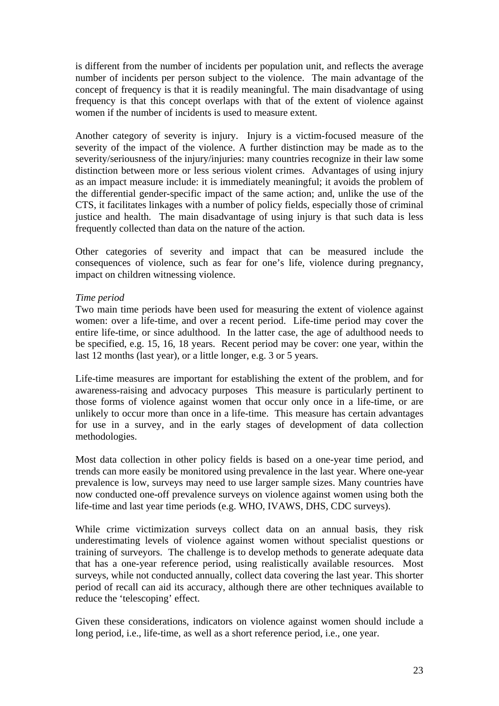is different from the number of incidents per population unit, and reflects the average number of incidents per person subject to the violence. The main advantage of the concept of frequency is that it is readily meaningful. The main disadvantage of using frequency is that this concept overlaps with that of the extent of violence against women if the number of incidents is used to measure extent.

Another category of severity is injury. Injury is a victim-focused measure of the severity of the impact of the violence. A further distinction may be made as to the severity/seriousness of the injury/injuries: many countries recognize in their law some distinction between more or less serious violent crimes. Advantages of using injury as an impact measure include: it is immediately meaningful; it avoids the problem of the differential gender-specific impact of the same action; and, unlike the use of the CTS, it facilitates linkages with a number of policy fields, especially those of criminal justice and health. The main disadvantage of using injury is that such data is less frequently collected than data on the nature of the action.

Other categories of severity and impact that can be measured include the consequences of violence, such as fear for one's life, violence during pregnancy, impact on children witnessing violence.

## *Time period*

Two main time periods have been used for measuring the extent of violence against women: over a life-time, and over a recent period. Life-time period may cover the entire life-time, or since adulthood. In the latter case, the age of adulthood needs to be specified, e.g. 15, 16, 18 years. Recent period may be cover: one year, within the last 12 months (last year), or a little longer, e.g. 3 or 5 years.

Life-time measures are important for establishing the extent of the problem, and for awareness-raising and advocacy purposes This measure is particularly pertinent to those forms of violence against women that occur only once in a life-time, or are unlikely to occur more than once in a life-time. This measure has certain advantages for use in a survey, and in the early stages of development of data collection methodologies.

Most data collection in other policy fields is based on a one-year time period, and trends can more easily be monitored using prevalence in the last year. Where one-year prevalence is low, surveys may need to use larger sample sizes. Many countries have now conducted one-off prevalence surveys on violence against women using both the life-time and last year time periods (e.g. WHO, IVAWS, DHS, CDC surveys).

While crime victimization surveys collect data on an annual basis, they risk underestimating levels of violence against women without specialist questions or training of surveyors. The challenge is to develop methods to generate adequate data that has a one-year reference period, using realistically available resources. Most surveys, while not conducted annually, collect data covering the last year. This shorter period of recall can aid its accuracy, although there are other techniques available to reduce the 'telescoping' effect.

Given these considerations, indicators on violence against women should include a long period, i.e., life-time, as well as a short reference period, i.e., one year.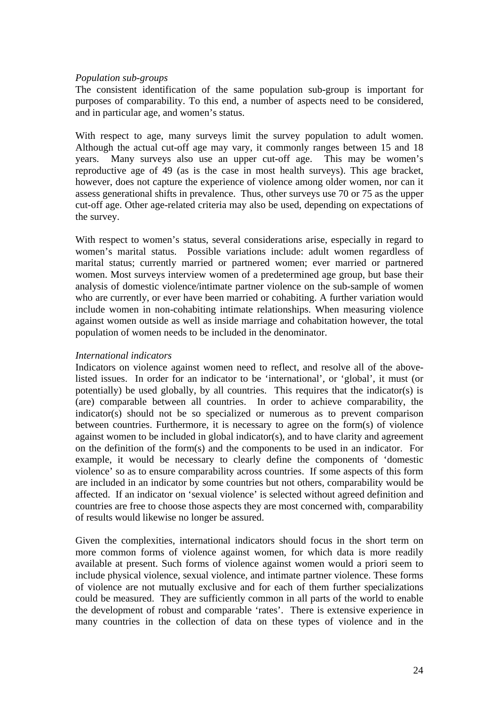## *Population sub-groups*

The consistent identification of the same population sub-group is important for purposes of comparability. To this end, a number of aspects need to be considered, and in particular age, and women's status.

With respect to age, many surveys limit the survey population to adult women. Although the actual cut-off age may vary, it commonly ranges between 15 and 18 years. Many surveys also use an upper cut-off age. This may be women's reproductive age of 49 (as is the case in most health surveys). This age bracket, however, does not capture the experience of violence among older women, nor can it assess generational shifts in prevalence. Thus, other surveys use 70 or 75 as the upper cut-off age. Other age-related criteria may also be used, depending on expectations of the survey.

With respect to women's status, several considerations arise, especially in regard to women's marital status. Possible variations include: adult women regardless of marital status; currently married or partnered women; ever married or partnered women. Most surveys interview women of a predetermined age group, but base their analysis of domestic violence/intimate partner violence on the sub-sample of women who are currently, or ever have been married or cohabiting. A further variation would include women in non-cohabiting intimate relationships. When measuring violence against women outside as well as inside marriage and cohabitation however, the total population of women needs to be included in the denominator.

### *International indicators*

Indicators on violence against women need to reflect, and resolve all of the abovelisted issues. In order for an indicator to be 'international', or 'global', it must (or potentially) be used globally, by all countries. This requires that the indicator(s) is (are) comparable between all countries. In order to achieve comparability, the indicator(s) should not be so specialized or numerous as to prevent comparison between countries. Furthermore, it is necessary to agree on the form(s) of violence against women to be included in global indicator(s), and to have clarity and agreement on the definition of the form(s) and the components to be used in an indicator. For example, it would be necessary to clearly define the components of 'domestic violence' so as to ensure comparability across countries. If some aspects of this form are included in an indicator by some countries but not others, comparability would be affected. If an indicator on 'sexual violence' is selected without agreed definition and countries are free to choose those aspects they are most concerned with, comparability of results would likewise no longer be assured.

Given the complexities, international indicators should focus in the short term on more common forms of violence against women, for which data is more readily available at present. Such forms of violence against women would a priori seem to include physical violence, sexual violence, and intimate partner violence. These forms of violence are not mutually exclusive and for each of them further specializations could be measured. They are sufficiently common in all parts of the world to enable the development of robust and comparable 'rates'. There is extensive experience in many countries in the collection of data on these types of violence and in the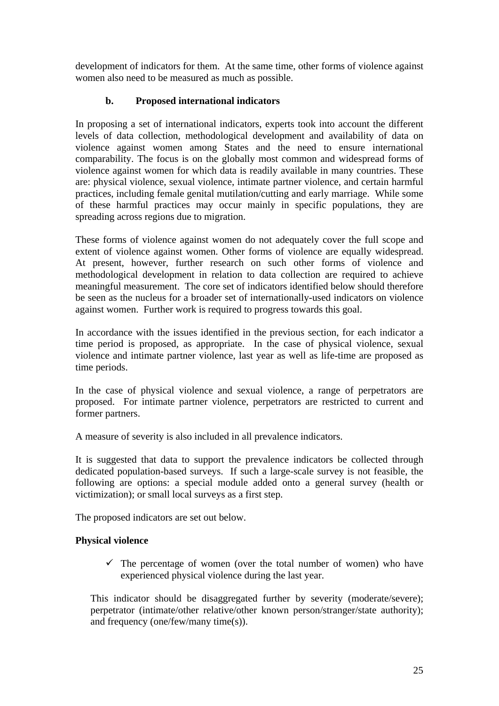development of indicators for them. At the same time, other forms of violence against women also need to be measured as much as possible.

## **b. Proposed international indicators**

In proposing a set of international indicators, experts took into account the different levels of data collection, methodological development and availability of data on violence against women among States and the need to ensure international comparability. The focus is on the globally most common and widespread forms of violence against women for which data is readily available in many countries. These are: physical violence, sexual violence, intimate partner violence, and certain harmful practices, including female genital mutilation/cutting and early marriage. While some of these harmful practices may occur mainly in specific populations, they are spreading across regions due to migration.

These forms of violence against women do not adequately cover the full scope and extent of violence against women. Other forms of violence are equally widespread. At present, however, further research on such other forms of violence and methodological development in relation to data collection are required to achieve meaningful measurement. The core set of indicators identified below should therefore be seen as the nucleus for a broader set of internationally-used indicators on violence against women. Further work is required to progress towards this goal.

In accordance with the issues identified in the previous section, for each indicator a time period is proposed, as appropriate. In the case of physical violence, sexual violence and intimate partner violence, last year as well as life-time are proposed as time periods.

In the case of physical violence and sexual violence, a range of perpetrators are proposed. For intimate partner violence, perpetrators are restricted to current and former partners.

A measure of severity is also included in all prevalence indicators.

It is suggested that data to support the prevalence indicators be collected through dedicated population-based surveys. If such a large-scale survey is not feasible, the following are options: a special module added onto a general survey (health or victimization); or small local surveys as a first step.

The proposed indicators are set out below.

## **Physical violence**

 $\checkmark$  The percentage of women (over the total number of women) who have experienced physical violence during the last year.

This indicator should be disaggregated further by severity (moderate/severe); perpetrator (intimate/other relative/other known person/stranger/state authority); and frequency (one/few/many time(s)).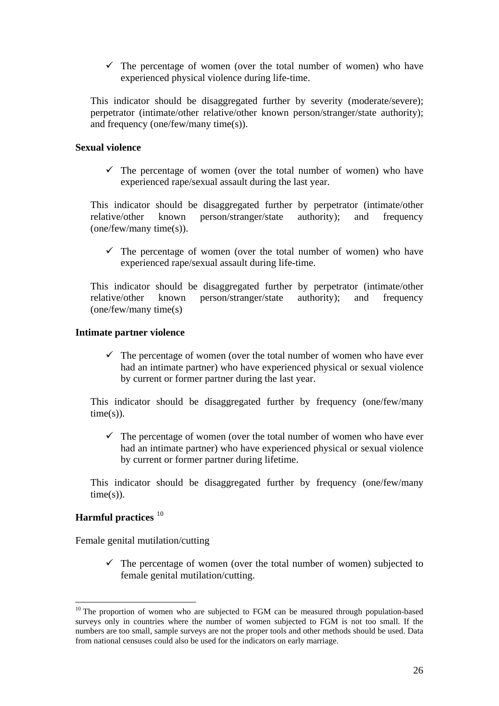$\checkmark$  The percentage of women (over the total number of women) who have experienced physical violence during life-time.

This indicator should be disaggregated further by severity (moderate/severe); perpetrator (intimate/other relative/other known person/stranger/state authority); and frequency (one/few/many time(s)).

## **Sexual violence**

 $\checkmark$  The percentage of women (over the total number of women) who have experienced rape/sexual assault during the last year.

This indicator should be disaggregated further by perpetrator (intimate/other relative/other known person/stranger/state authority); and frequency (one/few/many time(s)).

 $\checkmark$  The percentage of women (over the total number of women) who have experienced rape/sexual assault during life-time.

This indicator should be disaggregated further by perpetrator (intimate/other relative/other known person/stranger/state authority); and frequency (one/few/many time(s)

## **Intimate partner violence**

 $\checkmark$  The percentage of women (over the total number of women who have ever had an intimate partner) who have experienced physical or sexual violence by current or former partner during the last year.

This indicator should be disaggregated further by frequency (one/few/many  $time(s)$ ).

 $\checkmark$  The percentage of women (over the total number of women who have ever had an intimate partner) who have experienced physical or sexual violence by current or former partner during lifetime.

This indicator should be disaggregated further by frequency (one/few/many  $time(s)$ ).

## **Harmful practices** [10](#page-25-0)

1

Female genital mutilation/cutting

 $\checkmark$  The percentage of women (over the total number of women) subjected to female genital mutilation/cutting.

<span id="page-25-0"></span> $10$  The proportion of women who are subjected to FGM can be measured through population-based surveys only in countries where the number of women subjected to FGM is not too small. If the numbers are too small, sample surveys are not the proper tools and other methods should be used. Data from national censuses could also be used for the indicators on early marriage.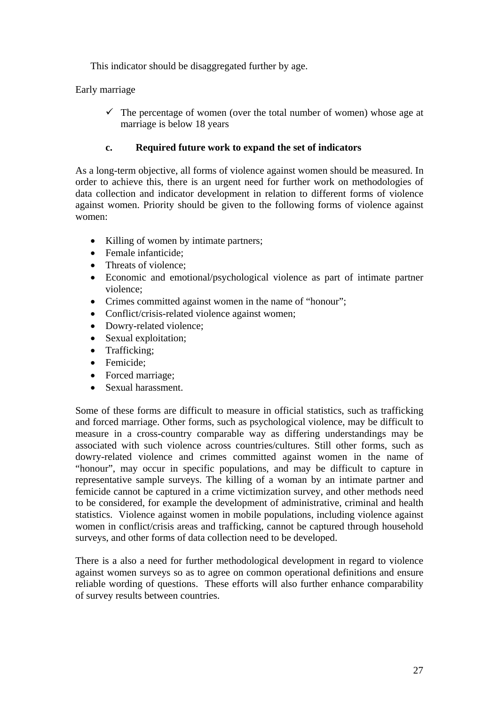This indicator should be disaggregated further by age.

Early marriage

 $\checkmark$  The percentage of women (over the total number of women) whose age at marriage is below 18 years

## **c. Required future work to expand the set of indicators**

As a long-term objective, all forms of violence against women should be measured. In order to achieve this, there is an urgent need for further work on methodologies of data collection and indicator development in relation to different forms of violence against women. Priority should be given to the following forms of violence against women:

- Killing of women by intimate partners;
- Female infanticide;
- Threats of violence:
- Economic and emotional/psychological violence as part of intimate partner violence;
- Crimes committed against women in the name of "honour";
- Conflict/crisis-related violence against women;
- Dowry-related violence;
- Sexual exploitation;
- Trafficking:
- Femicide:
- Forced marriage;
- Sexual harassment.

Some of these forms are difficult to measure in official statistics, such as trafficking and forced marriage. Other forms, such as psychological violence, may be difficult to measure in a cross-country comparable way as differing understandings may be associated with such violence across countries/cultures. Still other forms, such as dowry-related violence and crimes committed against women in the name of "honour", may occur in specific populations, and may be difficult to capture in representative sample surveys. The killing of a woman by an intimate partner and femicide cannot be captured in a crime victimization survey, and other methods need to be considered, for example the development of administrative, criminal and health statistics. Violence against women in mobile populations, including violence against women in conflict/crisis areas and trafficking, cannot be captured through household surveys, and other forms of data collection need to be developed.

There is a also a need for further methodological development in regard to violence against women surveys so as to agree on common operational definitions and ensure reliable wording of questions. These efforts will also further enhance comparability of survey results between countries.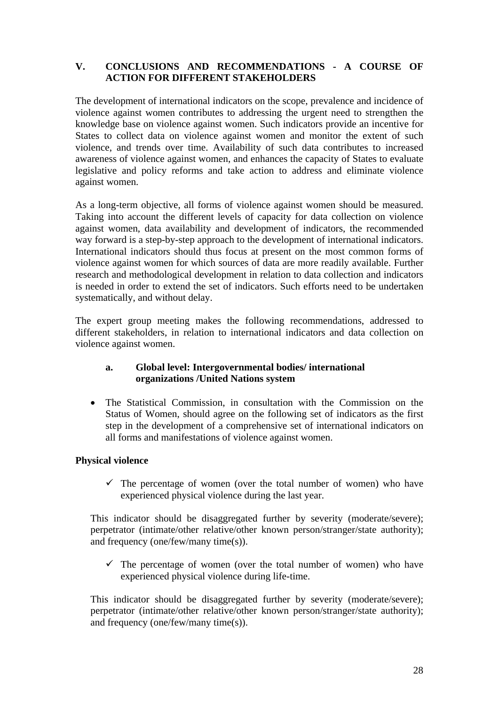## **V. CONCLUSIONS AND RECOMMENDATIONS - A COURSE OF ACTION FOR DIFFERENT STAKEHOLDERS**

The development of international indicators on the scope, prevalence and incidence of violence against women contributes to addressing the urgent need to strengthen the knowledge base on violence against women. Such indicators provide an incentive for States to collect data on violence against women and monitor the extent of such violence, and trends over time. Availability of such data contributes to increased awareness of violence against women, and enhances the capacity of States to evaluate legislative and policy reforms and take action to address and eliminate violence against women.

As a long-term objective, all forms of violence against women should be measured. Taking into account the different levels of capacity for data collection on violence against women, data availability and development of indicators, the recommended way forward is a step-by-step approach to the development of international indicators. International indicators should thus focus at present on the most common forms of violence against women for which sources of data are more readily available. Further research and methodological development in relation to data collection and indicators is needed in order to extend the set of indicators. Such efforts need to be undertaken systematically, and without delay.

The expert group meeting makes the following recommendations, addressed to different stakeholders, in relation to international indicators and data collection on violence against women.

## **a. Global level: Intergovernmental bodies/ international organizations /United Nations system**

• The Statistical Commission, in consultation with the Commission on the Status of Women, should agree on the following set of indicators as the first step in the development of a comprehensive set of international indicators on all forms and manifestations of violence against women.

## **Physical violence**

 $\checkmark$  The percentage of women (over the total number of women) who have experienced physical violence during the last year.

This indicator should be disaggregated further by severity (moderate/severe); perpetrator (intimate/other relative/other known person/stranger/state authority); and frequency (one/few/many time(s)).

 $\checkmark$  The percentage of women (over the total number of women) who have experienced physical violence during life-time.

This indicator should be disaggregated further by severity (moderate/severe); perpetrator (intimate/other relative/other known person/stranger/state authority); and frequency (one/few/many time(s)).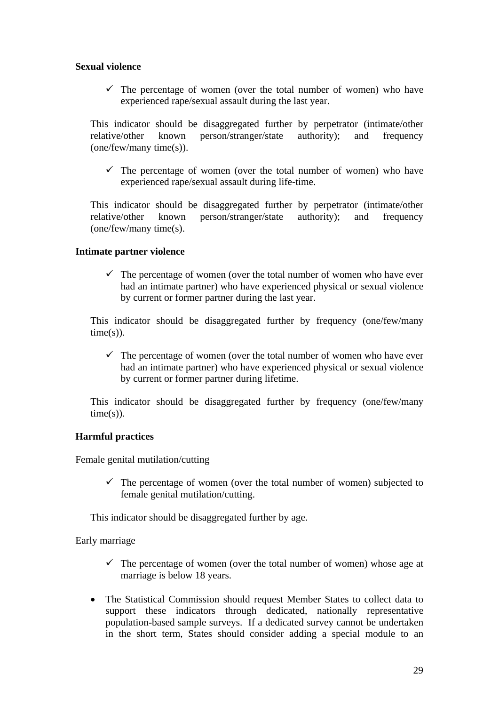## **Sexual violence**

 $\checkmark$  The percentage of women (over the total number of women) who have experienced rape/sexual assault during the last year.

This indicator should be disaggregated further by perpetrator (intimate/other relative/other known person/stranger/state authority); and frequency (one/few/many time(s)).

 $\checkmark$  The percentage of women (over the total number of women) who have experienced rape/sexual assault during life-time.

This indicator should be disaggregated further by perpetrator (intimate/other relative/other known person/stranger/state authority); and frequency (one/few/many time(s).

### **Intimate partner violence**

 $\checkmark$  The percentage of women (over the total number of women who have ever had an intimate partner) who have experienced physical or sexual violence by current or former partner during the last year.

This indicator should be disaggregated further by frequency (one/few/many  $time(s)$ ).

 $\checkmark$  The percentage of women (over the total number of women who have ever had an intimate partner) who have experienced physical or sexual violence by current or former partner during lifetime.

This indicator should be disaggregated further by frequency (one/few/many  $time(s)$ ).

## **Harmful practices**

Female genital mutilation/cutting

 $\checkmark$  The percentage of women (over the total number of women) subjected to female genital mutilation/cutting.

This indicator should be disaggregated further by age.

Early marriage

- $\checkmark$  The percentage of women (over the total number of women) whose age at marriage is below 18 years.
- The Statistical Commission should request Member States to collect data to support these indicators through dedicated, nationally representative population-based sample surveys. If a dedicated survey cannot be undertaken in the short term, States should consider adding a special module to an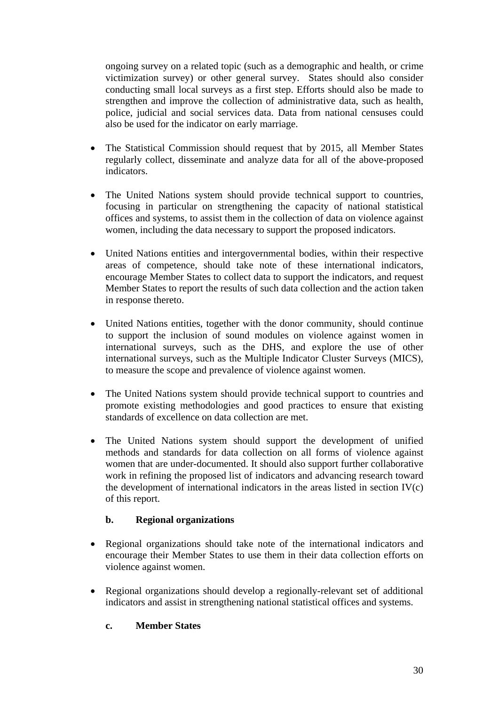ongoing survey on a related topic (such as a demographic and health, or crime victimization survey) or other general survey. States should also consider conducting small local surveys as a first step. Efforts should also be made to strengthen and improve the collection of administrative data, such as health, police, judicial and social services data. Data from national censuses could also be used for the indicator on early marriage.

- The Statistical Commission should request that by 2015, all Member States regularly collect, disseminate and analyze data for all of the above-proposed indicators.
- The United Nations system should provide technical support to countries, focusing in particular on strengthening the capacity of national statistical offices and systems, to assist them in the collection of data on violence against women, including the data necessary to support the proposed indicators.
- United Nations entities and intergovernmental bodies, within their respective areas of competence, should take note of these international indicators, encourage Member States to collect data to support the indicators, and request Member States to report the results of such data collection and the action taken in response thereto.
- United Nations entities, together with the donor community, should continue to support the inclusion of sound modules on violence against women in international surveys, such as the DHS, and explore the use of other international surveys, such as the Multiple Indicator Cluster Surveys (MICS), to measure the scope and prevalence of violence against women.
- The United Nations system should provide technical support to countries and promote existing methodologies and good practices to ensure that existing standards of excellence on data collection are met.
- The United Nations system should support the development of unified methods and standards for data collection on all forms of violence against women that are under-documented. It should also support further collaborative work in refining the proposed list of indicators and advancing research toward the development of international indicators in the areas listed in section  $IV(c)$ of this report.

## **b. Regional organizations**

- Regional organizations should take note of the international indicators and encourage their Member States to use them in their data collection efforts on violence against women.
- Regional organizations should develop a regionally-relevant set of additional indicators and assist in strengthening national statistical offices and systems.

## **c. Member States**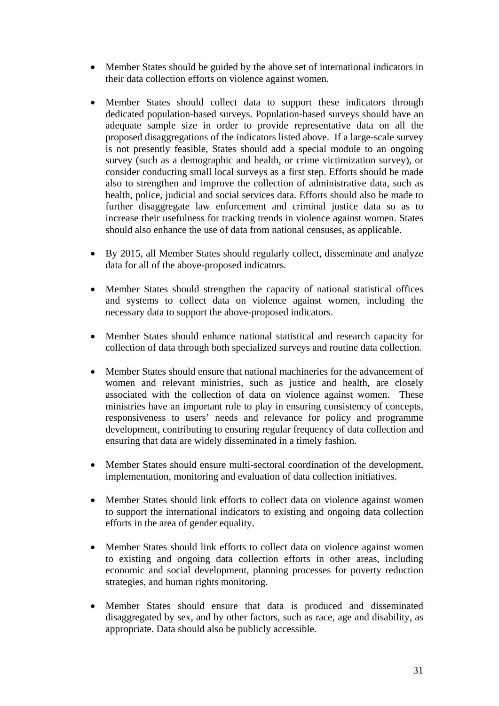- Member States should be guided by the above set of international indicators in their data collection efforts on violence against women.
- Member States should collect data to support these indicators through dedicated population-based surveys. Population-based surveys should have an adequate sample size in order to provide representative data on all the proposed disaggregations of the indicators listed above. If a large-scale survey is not presently feasible, States should add a special module to an ongoing survey (such as a demographic and health, or crime victimization survey), or consider conducting small local surveys as a first step. Efforts should be made also to strengthen and improve the collection of administrative data, such as health, police, judicial and social services data. Efforts should also be made to further disaggregate law enforcement and criminal justice data so as to increase their usefulness for tracking trends in violence against women. States should also enhance the use of data from national censuses, as applicable.
- By 2015, all Member States should regularly collect, disseminate and analyze data for all of the above-proposed indicators.
- Member States should strengthen the capacity of national statistical offices and systems to collect data on violence against women, including the necessary data to support the above-proposed indicators.
- Member States should enhance national statistical and research capacity for collection of data through both specialized surveys and routine data collection.
- Member States should ensure that national machineries for the advancement of women and relevant ministries, such as justice and health, are closely associated with the collection of data on violence against women. These ministries have an important role to play in ensuring consistency of concepts, responsiveness to users' needs and relevance for policy and programme development, contributing to ensuring regular frequency of data collection and ensuring that data are widely disseminated in a timely fashion.
- Member States should ensure multi-sectoral coordination of the development, implementation, monitoring and evaluation of data collection initiatives.
- Member States should link efforts to collect data on violence against women to support the international indicators to existing and ongoing data collection efforts in the area of gender equality.
- Member States should link efforts to collect data on violence against women to existing and ongoing data collection efforts in other areas, including economic and social development, planning processes for poverty reduction strategies, and human rights monitoring.
- Member States should ensure that data is produced and disseminated disaggregated by sex, and by other factors, such as race, age and disability, as appropriate. Data should also be publicly accessible.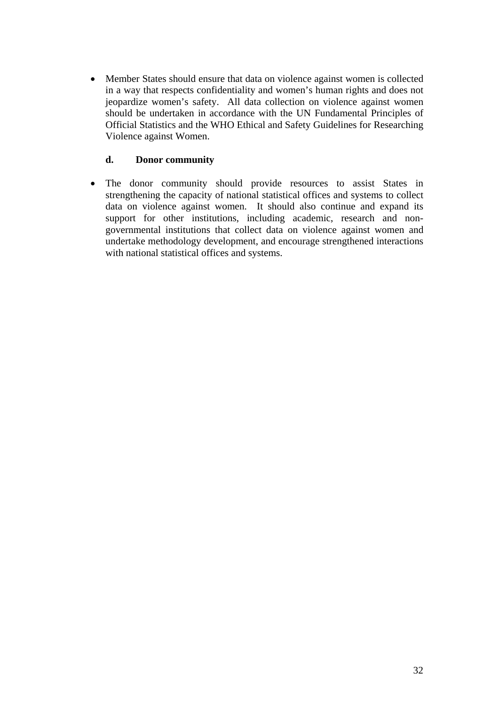• Member States should ensure that data on violence against women is collected in a way that respects confidentiality and women's human rights and does not jeopardize women's safety. All data collection on violence against women should be undertaken in accordance with the UN Fundamental Principles of Official Statistics and the WHO Ethical and Safety Guidelines for Researching Violence against Women.

## **d. Donor community**

• The donor community should provide resources to assist States in strengthening the capacity of national statistical offices and systems to collect data on violence against women. It should also continue and expand its support for other institutions, including academic, research and nongovernmental institutions that collect data on violence against women and undertake methodology development, and encourage strengthened interactions with national statistical offices and systems.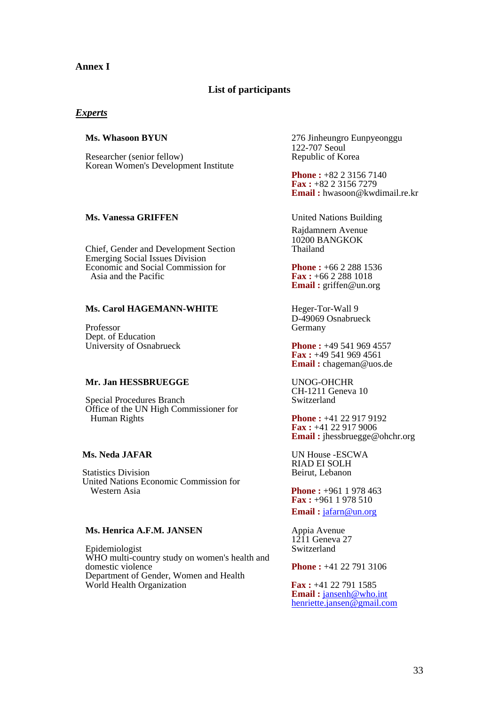### **Annex I**

### **List of participants**

### *Experts*

Researcher (senior fellow) Republic of Korea Korean Women's Development Institute

### **Ms. Vanessa GRIFFEN** United Nations Building

Chief, Gender and Development Section Emerging Social Issues Division Economic and Social Commission for<br>Asia and the Pacific<br>**Fax**: +66 2 288 1018

### **Ms. Carol HAGEMANN-WHITE** Heger-Tor-Wall 9

Dept. of Education

### **Mr. Jan HESSBRUEGGE** UNOG-OHCHR

Special Procedures Branch Office of the UN High Commissioner for **Human Rights Phone :** +41 22 917 9192

Statistics Division United Nations Economic Commission for

### **Ms. Henrica A.F.M. JANSEN** Appia Avenue

Epidemiologist WHO multi-country study on women's health and domestic violence **Phone** :  $+41\ 22\ 791\ 3106$  Department of Gender, Women and Health World Health Organization **Fax:** +41 22 791 1585

**Ms. Whasoon BYUN** 276 Jinheungro Eunpyeonggu 122-707 Seoul

> **Phone : +82 2 3156 7140 Fax :** +82 2 3156 7279 **Email :** hwasoon@kwdimail.re.kr

Rajdamnern Avenue 10200 BANGKOK

 Asia and the Pacific **Fax :** +66 2 288 1018 **Email :** griffen@un.org

Professor<br>
Professor<br>
Germany<br>
Germany Germany

 University of Osnabrueck **Phone :** +49 541 969 4557 **Fax :** +49 541 969 4561 **Email :** chageman@uos.de

CH-1211 Geneva 10

**Fax :** +41 22 917 9006 **Email :** jhessbruegge@ohchr.org

 **Ms. Neda JAFAR** UN House -ESCWA RIAD EI SOLH

> **Phone : +961 1 978 463 Fax :** +961 1 978 510 **Email :** [jafarn@un.org](mailto:jafarn@un.org)

 $1211$  Geneva 27<br>Switzerland

Email: [jansenh@who.int](mailto:jansenh@who.int) [henriette.jansen@gmail.com](mailto:henriette.jansen@gmail.com)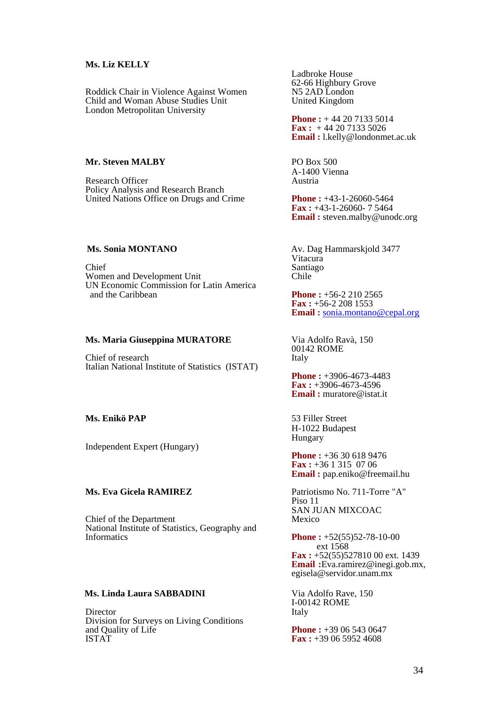### **Ms. Liz KELLY**

Roddick Chair in Violence Against Women Child and Woman Abuse Studies Unit United Kingdom London Metropolitan University

### **Mr. Steven MALBY** PO Box 500

Research Officer Policy Analysis and Research Branch United Nations Office on Drugs and Crime **Phone :** +43-1-26060-5464

Chief<br>
Santiago<br>
Women and Development Unit Women and Development Unit UN Economic Commission for Latin America

### **Ms. Maria Giuseppina MURATORE** Via Adolfo Ravà, 150

Chief of research Italian National Institute of Statistics (ISTAT)

### **Ms. Enikö PAP** 53 Filler Street

Independent Expert (Hungary)

### **Ms. Eva Gicela RAMIREZ** Patriotismo No. 711-Torre "A"

Chief of the Department Mexico National Institute of Statistics, Geography and

### **Ms. Linda Laura SABBADINI** Via Adolfo Rave, 150

Director Division for Surveys on Living Conditions and Quality of Life **Phone :** +39 06 543 0647<br> **Phone :** +39 06 543 0647<br> **Fax** : +39 06 5952 4608

Ladbroke House 62-66 Highbury Grove<br>N5 2AD London

**Phone :** +44 20 7133 5014 **Fax :** + 44 20 7133 5026 **Email :** l.kelly@londonmet.ac.uk

A-1400 Vienna

**Fax :** +43-1-26060- 7 5464 **Email :** steven.malby@unodc.org

**Ms. Sonia MONTANO Av. Dag Hammarskjold 3477** Vitacura

> **Phone :**  $+56-2$  **210 2565 Fax :** +56-2 208 1553 **Email :** [sonia.montano@cepal.org](mailto:sonia.montano@cepal.org)

00142 ROME

**Phone :** +3906-4673-4483 **Fax :** +3906-4673-4596 **Email :** muratore@istat.it

 H-1022 Budapest Hungary

**Phone : +36 30 618 9476 Fax :** +36 1 315 07 06 **Email :** pap.eniko@freemail.hu

Piso 11 SAN JUAN MIXCOAC

**Phone :**  $+52(55)52-78-10-00$  ext 1568 **Fax :** +52(55)527810 00 ext. 1439 **Email :**Eva.ramirez@inegi.gob.mx, egisela@servidor.unam.mx

I-00142 ROME

 $\textbf{Fax}: +390659524608$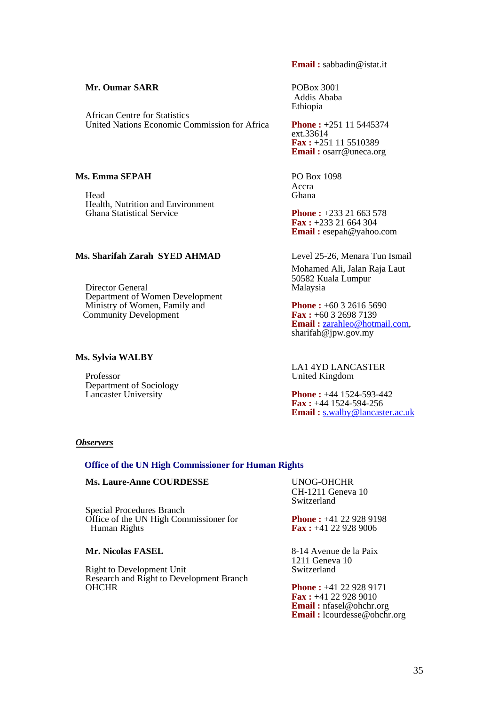### **Mr. Oumar SARR** POBox 3001

 African Centre for Statistics United Nations Economic Commission for Africa **Phone :** +251 11 5445374

### **Ms. Emma SEPAH**  PO Box 1098

Head Ghana Health, Nutrition and Environment<br>Ghana Statistical Service

### **Ms. Sharifah Zarah SYED AHMAD** Level 25-26, Menara Tun Ismail

Director General Department of Women Development Ministry of Women, Family and **Phone :** +60 3 2616 5690<br>
Community Development **Fax** : +60 3 2698 7139 **Community Development** 

### **Ms. Sylvia WALBY**

 Professor United Kingdom Department of Sociology

**Email :** sabbadin@istat.it

 Addis Ababa Ethiopia

ext.33614 **Fax :** +251 11 5510389 **Email :** osarr@uneca.org

**Accra Accra** 

**Phone : +233 21 663 578 Fax :** +233 21 664 304 **Email :** esepah@yahoo.com

Mohamed Ali, Jalan Raja Laut 50582 Kuala Lumpur

**Email :** <u>zarahleo@hotmail.com</u>, sharifah@jpw.gov.my

LA1 4YD LANCASTER

**Phone : +44 1524-593-442 Fax :** +44 1524-594-256 **Email :** [s.walby@lancaster.ac.uk](mailto:s.walby@lancaster.ac.uk) 

### *Observers*

### **Office of the UN High Commissioner for Human Rights**

### **Ms. Laure-Anne COURDESSE** UNOG-OHCHR

 Special Procedures Branch Office of the UN High Commissioner for<br>
Human Rights<br>
Fax: +41 22 928 9006

Right to Development Unit Research and Right to Development Branch CH-1211 Geneva 10 Switzerland

**Fax : +41 22 928 9006** 

**Mr. Nicolas FASEL** 8-14 Avenue de la Paix 1211 Geneva 10

> **Phone : +41 22 928 9171 Fax :** +41 22 928 9010 **Email :** nfasel@ohchr.org **Email :** lcourdesse@ohchr.org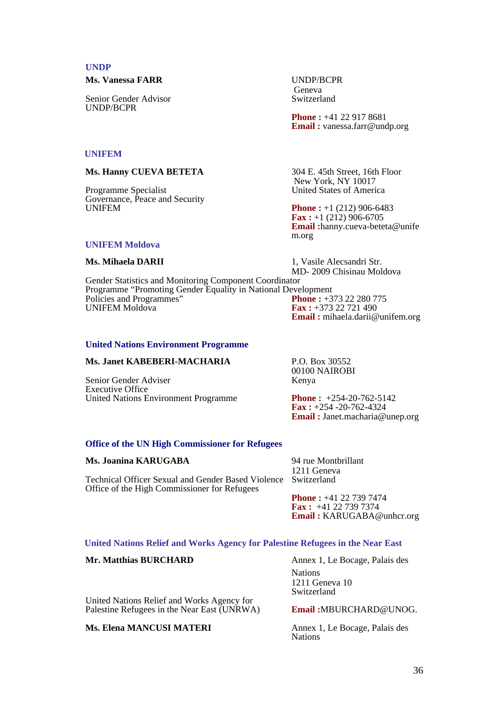### **UNDP**

 **Ms. Vanessa FARR** UNDP/BCPR

Senior Gender Advisor Switzerland UNDP/BCPR

Geneva Contra Contra Contra Contra Contra Contra Contra Contra Contra Contra Contra Contra Contra Contra Contra Contra Contra Contra Contra Contra Contra Contra Contra Contra Contra Contra Contra Contra Contra Contra Contr

**Phone : +41 22 917 8681 Email :** vanessa.farr@undp.org

### **UNIFEM**

**Ms. Hanny CUEVA BETETA** 304 E. 45th Street, 16th Floor

 Programme Specialist United States of America Governance, Peace and Security<br>UNIFEM

### **UNIFEM Moldova**

New York, NY 10017

**Phone :** +1 (212) 906-6483 **Fax** :  $+1$  (212) 906-6705 **Email :**hanny.cueva-beteta@unife m.org

**Ms. Mihaela DARII** 1, Vasile Alecsandri Str. MD- 2009 Chisinau Moldova

 Gender Statistics and Monitoring Component Coordinator Programme "Promoting Gender Equality in National Development<br>Policies and Programmes"<br>Phone: +373 22 280 775 Policies and Programmes"<br> **UNIFEM Moldova** Fax: +373 22 721 490 **Email :** mihaela.darii@unifem.org

### **United Nations Environment Programme**

### **Ms. Janet KABEBERI-MACHARIA** P.O. Box 30552

Senior Gender Adviser Executive Office United Nations Environment Programme **Phone :** +254-20-762-5142

00100 NAIROBI

**Fax :** +254 -20-762-4324 **Email :** Janet.macharia@unep.org

### **Office of the UN High Commissioner for Refugees**

### **Ms. Joanina KARUGABA** 94 rue Montbrillant

 Technical Officer Sexual and Gender Based Violence Switzerland Office of the High Commissioner for Refugees

1211 Geneva

**Phone :** +41 22 739 7474 **Fax :** +41 22 739 7374 **Email :** KARUGABA@unhcr.org

### **United Nations Relief and Works Agency for Palestine Refugees in the Near East**

### **Mr. Matthias BURCHARD Annex 1, Le Bocage, Palais des**

 United Nations Relief and Works Agency for Palestine Refugees in the Near East (UNRWA) **Email :**MBURCHARD@UNOG.

### **Ms. Elena MANCUSI MATERI** Annex 1, Le Bocage, Palais des

**Nations** 1211 Geneva 10 Switzerland

Nations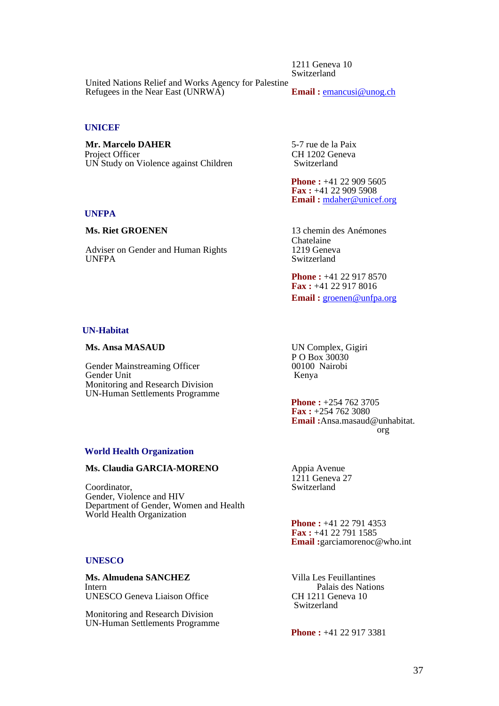1211 Geneva 10 Switzerland

United Nations Relief and Works Agency for Palestine<br>Refugees in the Near East (UNRWA) Email: emancusi@unog.ch Refugees in the Near East (UNRWA)

### **UNICEF**

**Mr. Marcelo DAHER** 5-7 rue de la Paix Project Officer<br>
UN Study on Violence against Children<br>
UN Study on Violence against Children<br>
CH 1202 Geneva UN Study on Violence against Children

**Phone : +41 22 909 5605 Fax :** +41 22 909 5908 **Email :** [mdaher@unicef.org](mailto:mdaher@unicef.org)

 **UNFPA** 

Adviser on Gender and Human Rights<br>UNFPA

**Ms. Riet GROENEN** 13 chemin des Anémones Chatelaine<br>1219 Geneva Switzerland

> **Phone : +41 22 917 8570 Fax :** +41 22 917 8016 **Email :** [groenen@unfpa.org](mailto:groenen@unfpa.org)

### **UN-Habitat**

### **Ms. Ansa MASAUD** UN Complex, Gigiri

Gender Mainstreaming Officer 00100 Nairobis Cender Unit Gender Unit Monitoring and Research Division UN-Human Settlements Programme

P O Box 30030<br>00100 Nairobi

**Phone : +254 762 3705 Fax :** +254 762 3080 **Email :**Ansa.masaud@unhabitat. org

### **World Health Organization**

### **Ms. Claudia GARCIA-MORENO** Appia Avenue

 Coordinator, Switzerland Gender, Violence and HIV Department of Gender, Women and Health World Health Organization

### **UNESCO**

**Ms. Almudena SANCHEZ** Villa Les Feuillantines Intern Palais des Nations UNESCO Geneva Liaison Office CH 1211 Geneva 10 Switzerland

 Monitoring and Research Division UN-Human Settlements Programme  $12\overline{1}1$  Geneva 27

**Phone : +41 22 791 4353 Fax :** +41 22 791 1585 **Email:**garciamorenoc@who.int

**Phone : +41 22 917 3381**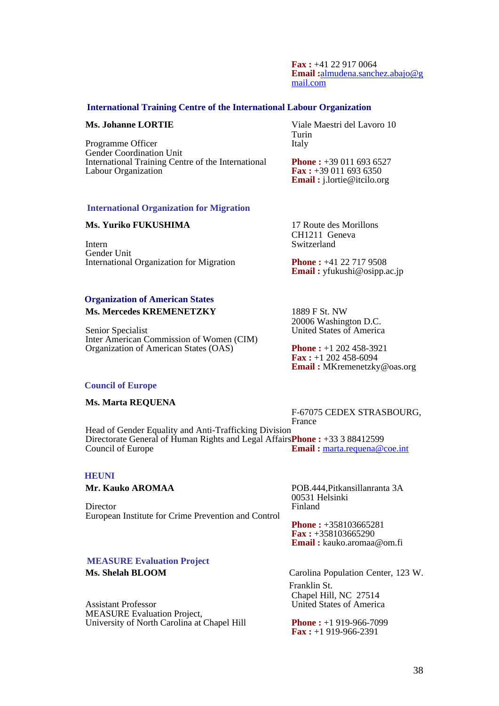**Fax :** +41 22 917 0064 **Email :**[almudena.sanchez.abajo@g](mailto:almudena.sanchez.abajo@gmail.com) [mail.com](mailto:almudena.sanchez.abajo@gmail.com)

### **International Training Centre of the International Labour Organization**

Programme Officer Italy Gender Coordination Unit International Training Centre of the International **Phone :** +39 011 693 6527<br>Labour Organization **Fax** : +39 011 693 6350

**Ms. Johanne LORTIE** Viale Maestri del Lavoro 10 **Turin Turin** 

> **Fax :** +39 011 693 6350 **Email :** j.lortie@itcilo.org

# **International Organization for Migration**

### **Ms. Yuriko FUKUSHIMA** 17 Route des Morillons

 Intern Switzerland Gender Unit International Organization for Migration **Phone :** +41 22 717 9508

### **Organization of American States Ms. Mercedes KREMENETZKY** 1889 F St. NW

Senior Specialist United States of America Inter American Commission of Women (CIM) Organization of American States (OAS) **Phone :** +1 202 458-3921

CH1211 Geneva

**Email :** yfukushi@osipp.ac.jp

20006 Washington D.C.

**Fax :** +1 202 458-6094 **Email :** MKremenetzky@oas.org

### **Council of Europe**

### **Ms. Marta REQUENA**

F-67075 CEDEX STRASBOURG, France

 Head of Gender Equality and Anti-Trafficking Division Directorate General of Human Rights and Legal Affairs**Phone :** +33 3 88412599 **Council of Europe <b>Email : Email :** [marta.requena@coe.int](mailto:marta.requena@coe.int)

### **HEUNI**

Director European Institute for Crime Prevention and Control

**Mr. Kauko AROMAA** POB.444,Pitkansillanranta 3A 00531 Helsinki

> **Phone :** +358103665281 **Fax :** +358103665290 **Email :** kauko.aromaa@om.fi

### **MEASURE Evaluation Project**

 Assistant Professor United States of America MEASURE Evaluation Project, University of North Carolina at Chapel Hill **Phone :** +1 919-966-7099

**Ms. Shelah BLOOM** Carolina Population Center, 123 W. Franklin St. Chapel Hill, NC 27514

**Fax :** +1 919-966-2391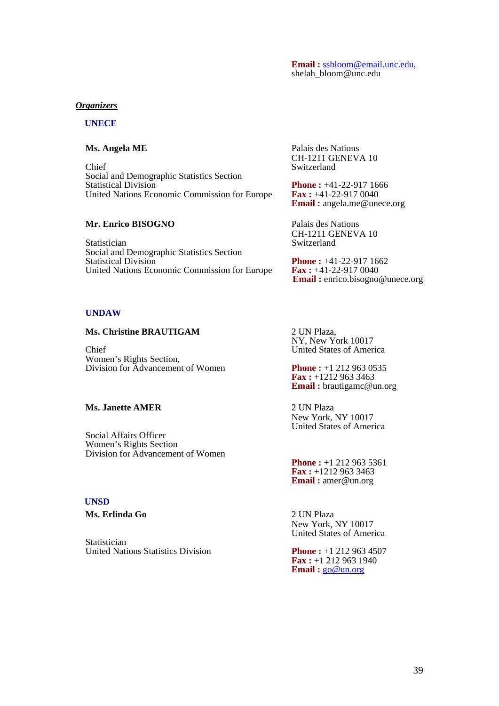# **Email :** [ssbloom@email.unc.edu,](mailto:ssbloom@email.unc.edu) shelah\_[bloom@unc.edu](mailto:ssbloom@email.unc.edu)

### *Organizers*

### **UNECE**

 Chief Switzerland Social and Demographic Statistics Section United Nations Economic Commission for Europe

### **Mr. Enrico BISOGNO** Palais des Nations

Statistician Switzerland Social and Demographic Statistics Section

### **UNDAW**

### **Ms. Christine BRAUTIGAM** 2 UN Plaza,

 Chief United States of America Women's Rights Section, Division for Advancement of Women **Phone :** +1 212 963 0535

### **Ms. Janette AMER** 2 UN Plaza

 Social Affairs Officer Women's Rights Section Division for Advancement of Women

### **UNSD**

**Ms. Erlinda Go** 2 UN Plaza

**Statistician** United Nations Statistics Division<br> **Phone :** +1 212 963 4507

**Ms. Angela ME** Palais des Nations CH-1211 GENEVA 10

> **Phone :** +41-22-917 1666<br>**Fax :** +41-22-917 0040 **Email :** angela.me@unece.org

CH-1211 GENEVA 10

**Phone :** +41-22-917 1662<br>**Fax :** +41-22-917 0040 United Nations Economic Commission for Europe **Fax** : +41-22-917 0040<br>**Email :** enrico.bisogno@unece.org

NY, New York 10017

**Fax :** +1212 963 3463 **Email :** brautigamc@un.org

New York, NY 10017 United States of America

**Phone : +1 212 963 5361 Fax :** +1212 963 3463 **Email :** amer@un.org

New York, NY 10017 United States of America

**Fax :** +1 212 963 1940 **Email :** [go@un.org](mailto:go@un.org)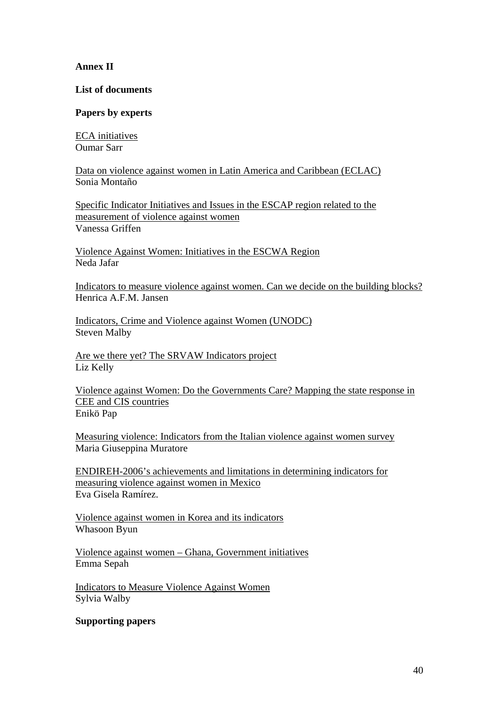## **Annex II**

### **List of documents**

## **Papers by experts**

ECA initiatives Oumar Sarr

Data on violence against women in Latin America and Caribbean (ECLAC) Sonia Montaño

Specific Indicator Initiatives and Issues in the ESCAP region related to the measurement of violence against women Vanessa Griffen

Violence Against Women: Initiatives in the ESCWA Region Neda Jafar

Indicators to measure violence against women. Can we decide on the building blocks? Henrica A.F.M. Jansen

Indicators, Crime and Violence against Women (UNODC) Steven Malby

Are we there yet? The SRVAW Indicators project Liz Kelly

Violence against Women: Do the Governments Care? Mapping the state response in CEE and CIS countries Enikö Pap

Measuring violence: Indicators from the Italian violence against women survey Maria Giuseppina Muratore

ENDIREH-2006's achievements and limitations in determining indicators for measuring violence against women in Mexico Eva Gisela Ramírez.

Violence against women in Korea and its indicators Whasoon Byun

Violence against women – Ghana, Government initiatives Emma Sepah

Indicators to Measure Violence Against Women Sylvia Walby

### **Supporting papers**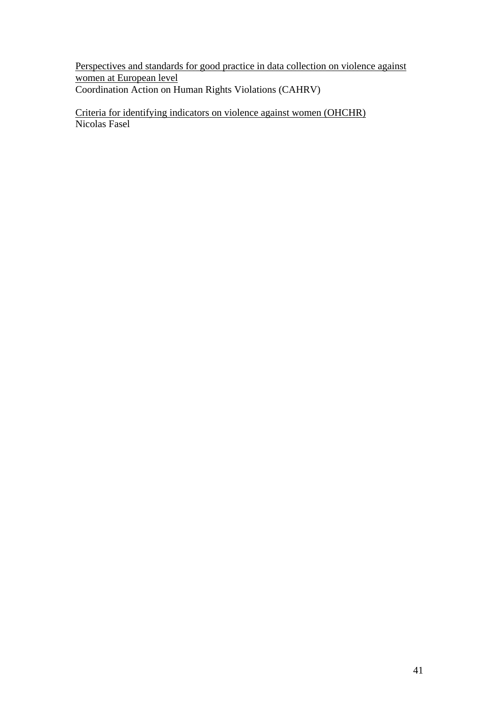Perspectives and standards for good practice in data collection on violence against women at European level Coordination Action on Human Rights Violations (CAHRV)

Criteria for identifying indicators on violence against women (OHCHR) Nicolas Fasel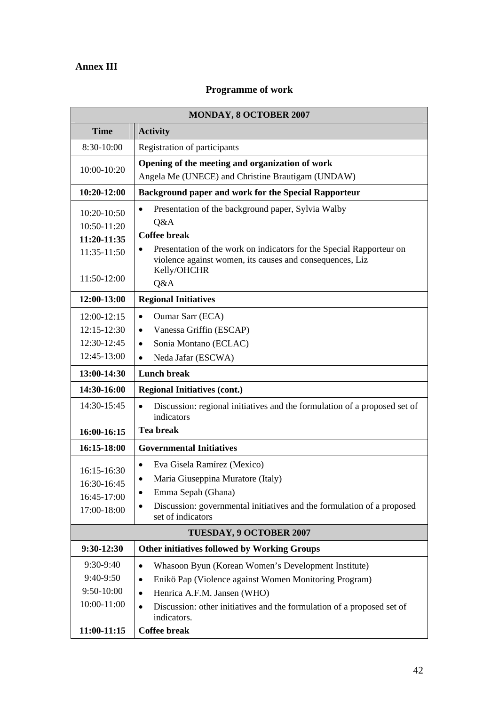## **Annex III**

 $\mathbf{r}$ 

## **Programme of work**

| MONDAY, 8 OCTOBER 2007                                            |                                                                                                    |  |
|-------------------------------------------------------------------|----------------------------------------------------------------------------------------------------|--|
| <b>Time</b>                                                       | <b>Activity</b>                                                                                    |  |
| 8:30-10:00                                                        | Registration of participants                                                                       |  |
| 10:00-10:20                                                       | Opening of the meeting and organization of work                                                    |  |
|                                                                   | Angela Me (UNECE) and Christine Brautigam (UNDAW)                                                  |  |
| 10:20-12:00                                                       | Background paper and work for the Special Rapporteur                                               |  |
| 10:20-10:50                                                       | Presentation of the background paper, Sylvia Walby                                                 |  |
| 10:50-11:20                                                       | Q&A                                                                                                |  |
| 11:20-11:35                                                       | <b>Coffee break</b>                                                                                |  |
| 11:35-11:50                                                       | Presentation of the work on indicators for the Special Rapporteur on                               |  |
|                                                                   | violence against women, its causes and consequences, Liz<br>Kelly/OHCHR                            |  |
| 11:50-12:00                                                       | Q&A                                                                                                |  |
| 12:00-13:00                                                       | <b>Regional Initiatives</b>                                                                        |  |
| 12:00-12:15                                                       | <b>Oumar Sarr (ECA)</b><br>$\bullet$                                                               |  |
| 12:15-12:30                                                       | Vanessa Griffin (ESCAP)<br>$\bullet$                                                               |  |
| 12:30-12:45                                                       | Sonia Montano (ECLAC)<br>$\bullet$                                                                 |  |
| 12:45-13:00                                                       | Neda Jafar (ESCWA)<br>$\bullet$                                                                    |  |
| 13:00-14:30                                                       | <b>Lunch break</b>                                                                                 |  |
| 14:30-16:00                                                       | <b>Regional Initiatives (cont.)</b>                                                                |  |
| 14:30-15:45                                                       | Discussion: regional initiatives and the formulation of a proposed set of                          |  |
|                                                                   | indicators                                                                                         |  |
| 16:00-16:15                                                       | <b>Tea break</b>                                                                                   |  |
| 16:15-18:00                                                       | <b>Governmental Initiatives</b>                                                                    |  |
| 16:15-16:30                                                       | Eva Gisela Ramírez (Mexico)<br>$\bullet$                                                           |  |
| 16:30-16:45                                                       | Maria Giuseppina Muratore (Italy)<br>$\bullet$                                                     |  |
| 16:45-17:00                                                       | Emma Sepah (Ghana)<br>$\bullet$                                                                    |  |
| 17:00-18:00                                                       | Discussion: governmental initiatives and the formulation of a proposed<br>set of indicators        |  |
| TUESDAY, 9 OCTOBER 2007                                           |                                                                                                    |  |
| 9:30-12:30<br><b>Other initiatives followed by Working Groups</b> |                                                                                                    |  |
| 9:30-9:40                                                         | Whasoon Byun (Korean Women's Development Institute)<br>$\bullet$                                   |  |
| 9:40-9:50                                                         | Enikö Pap (Violence against Women Monitoring Program)<br>$\bullet$                                 |  |
| 9:50-10:00                                                        | Henrica A.F.M. Jansen (WHO)<br>$\bullet$                                                           |  |
| 10:00-11:00                                                       | Discussion: other initiatives and the formulation of a proposed set of<br>$\bullet$<br>indicators. |  |
| 11:00-11:15                                                       | <b>Coffee break</b>                                                                                |  |